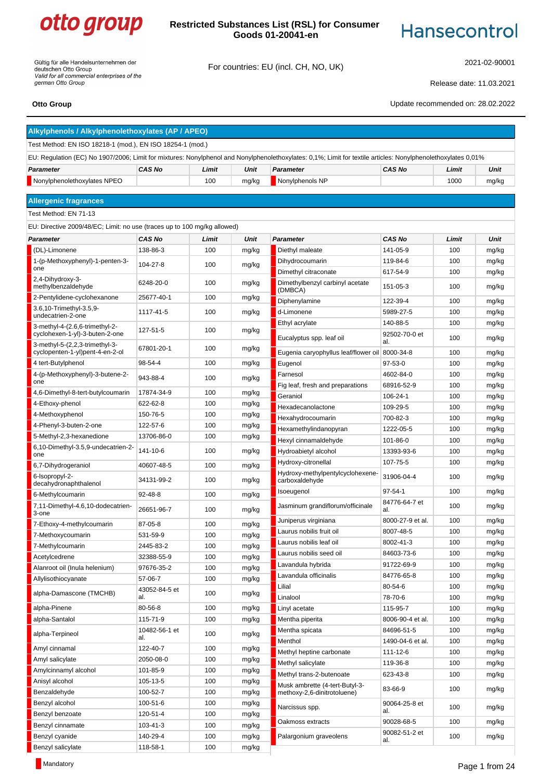Gültig für alle Handelsunternehmen der<br>deutschen Otto Group<br>Valid for all commercial enterprises of the

**Otto Group**

german Otto Group

**Restricted Substances List (RSL) for Consumer Goods 01-20041-en**

### Hansecontrol

2021-02-90001 For countries: EU (incl. CH, NO, UK)

Release date: 11.03.2021

Update recommended on: 28.02.2022

| Alkylphenols / Alkylphenolethoxylates (AP / APEO)                        |                      |       |       |                                                                                                                                                              |                              |            |                |
|--------------------------------------------------------------------------|----------------------|-------|-------|--------------------------------------------------------------------------------------------------------------------------------------------------------------|------------------------------|------------|----------------|
| Test Method: EN ISO 18218-1 (mod.), EN ISO 18254-1 (mod.)                |                      |       |       |                                                                                                                                                              |                              |            |                |
|                                                                          |                      |       |       | EU: Regulation (EC) No 1907/2006; Limit for mixtures: Nonylphenol and Nonylphenolethoxylates: 0,1%; Limit for textile articles: Nonylphenolethoxylates 0,01% |                              |            |                |
| <b>Parameter</b>                                                         | <b>CAS No</b>        | Limit | Unit  | <b>Parameter</b>                                                                                                                                             | <b>CAS No</b>                | Limit      | Unit           |
| Nonylphenolethoxylates NPEO                                              |                      | 100   | mg/kg | Nonylphenols NP                                                                                                                                              |                              | 1000       | mg/kg          |
|                                                                          |                      |       |       |                                                                                                                                                              |                              |            |                |
| Allergenic fragrances                                                    |                      |       |       |                                                                                                                                                              |                              |            |                |
| Test Method: EN 71-13                                                    |                      |       |       |                                                                                                                                                              |                              |            |                |
| EU: Directive 2009/48/EC; Limit: no use (traces up to 100 mg/kg allowed) |                      |       |       |                                                                                                                                                              |                              |            |                |
| Parameter                                                                | <b>CAS No</b>        | Limit | Unit  | <b>Parameter</b>                                                                                                                                             | CAS No                       | Limit      | Unit           |
| (DL)-Limonene                                                            | 138-86-3             | 100   | mg/kg | Diethyl maleate                                                                                                                                              | 141-05-9                     | 100        | mg/kg          |
| 1-(p-Methoxyphenyl)-1-penten-3-                                          | 104-27-8             | 100   | mg/kg | Dihydrocoumarin                                                                                                                                              | 119-84-6                     | 100        | mg/kg          |
| one<br>2,4-Dihydroxy-3-                                                  |                      |       |       | Dimethyl citraconate                                                                                                                                         | 617-54-9                     | 100        | mg/kg          |
| methylbenzaldehyde                                                       | 6248-20-0            | 100   | mg/kg | Dimethylbenzyl carbinyl acetate<br>(DMBCA)                                                                                                                   | 151-05-3                     | 100        | mg/kg          |
| 2-Pentylidene-cyclohexanone                                              | 25677-40-1           | 100   | mg/kg | Diphenylamine                                                                                                                                                | 122-39-4                     | 100        | mg/kg          |
| 3.6,10-Trimethyl-3.5,9-<br>undecatrien-2-one                             | 1117-41-5            | 100   | mg/kg | d-Limonene                                                                                                                                                   | 5989-27-5                    | 100        | mg/kg          |
| 3-methyl-4-(2.6,6-trimethyl-2-                                           |                      |       |       | Ethyl acrylate                                                                                                                                               | 140-88-5                     | 100        | mg/kg          |
| cyclohexen-1-yl)-3-buten-2-one                                           | 127-51-5             | 100   | mg/kg | Eucalyptus spp. leaf oil                                                                                                                                     | 92502-70-0 et                | 100        | mg/kg          |
| 3-methyl-5-(2,2,3-trimethyl-3-                                           | 67801-20-1           | 100   | mg/kg |                                                                                                                                                              | al.                          |            |                |
| cyclopenten-1-yl)pent-4-en-2-ol                                          |                      |       |       | Eugenia caryophyllus leaf/flower oil                                                                                                                         | 8000-34-8                    | 100        | mg/kg          |
| 4 tert-Butylphenol                                                       | 98-54-4              | 100   | mg/kg | Eugenol                                                                                                                                                      | 97-53-0                      | 100        | mg/kg          |
| 4-(p-Methoxyphenyl)-3-butene-2-<br>one                                   | 943-88-4             | 100   | mg/kg | Farnesol                                                                                                                                                     | 4602-84-0                    | 100        | mg/kg          |
| 4,6-Dimethyl-8-tert-butylcoumarin                                        | 17874-34-9           | 100   | mg/kg | Fig leaf, fresh and preparations<br>Geraniol                                                                                                                 | 68916-52-9<br>106-24-1       | 100<br>100 | mg/kg          |
| 4-Ethoxy-phenol                                                          | 622-62-8             | 100   | mg/kg | Hexadecanolactone                                                                                                                                            | 109-29-5                     | 100        | mg/kg<br>mg/kg |
| 4-Methoxyphenol                                                          | 150-76-5             | 100   | mg/kg | Hexahydrocoumarin                                                                                                                                            | 700-82-3                     | 100        | mg/kg          |
| 4-Phenyl-3-buten-2-one                                                   | 122-57-6             | 100   | mg/kg | Hexamethylindanopyran                                                                                                                                        | 1222-05-5                    | 100        | mg/kg          |
| 5-Methyl-2,3-hexanedione                                                 | 13706-86-0           | 100   | mg/kg | Hexyl cinnamaldehyde                                                                                                                                         | 101-86-0                     | 100        | mg/kg          |
| 6,10-Dimethyl-3.5,9-undecatrien-2-                                       | 141-10-6             | 100   | mg/kg | Hydroabietyl alcohol                                                                                                                                         | 13393-93-6                   | 100        | mg/kg          |
| one<br>6,7-Dihydrogeraniol                                               | 40607-48-5           | 100   |       | Hydroxy-citronellal                                                                                                                                          | 107-75-5                     | 100        | mg/kg          |
| 6-Isopropyl-2-                                                           |                      |       | mg/kg | Hydroxy-methylpentylcyclohexene-                                                                                                                             | 31906-04-4                   | 100        |                |
| decahydronaphthalenol                                                    | 34131-99-2           | 100   | mg/kg | carboxaldehyde                                                                                                                                               |                              |            | mg/kg          |
| 6-Methylcoumarin                                                         | $92 - 48 - 8$        | 100   | mg/kg | Isoeugenol                                                                                                                                                   | 97-54-1                      | 100        | mg/kg          |
| 7,11-Dimethyl-4.6,10-dodecatrien-<br>3-one                               | 26651-96-7           | 100   | mg/kg | Jasminum grandiflorum/officinale                                                                                                                             | 84776-64-7 et<br>al.         | 100        | mg/kg          |
| 7-Ethoxy-4-methylcoumarin                                                | 87-05-8              | 100   | mg/kg | Juniperus virginiana                                                                                                                                         | 8000-27-9 et al.             | 100        | mg/kg          |
| 7-Methoxycoumarin                                                        | 531-59-9             | 100   | mg/kg | Laurus nobilis fruit oil                                                                                                                                     | 8007-48-5                    | 100        | mg/kg          |
| 7-Methylcoumarin                                                         | 2445-83-2            | 100   | mg/kg | Laurus nobilis leaf oil                                                                                                                                      | 8002-41-3                    | 100        | mg/kg          |
| Acetylcedrene                                                            | 32388-55-9           | 100   | mg/kg | Laurus nobilis seed oil                                                                                                                                      | 84603-73-6                   | 100        | mg/kg          |
| Alanroot oil (Inula helenium)                                            | 97676-35-2           | 100   | mg/kg | Lavandula hybrida                                                                                                                                            | 91722-69-9                   | 100        | mg/kg          |
| Allylisothiocyanate                                                      | 57-06-7              | 100   | mg/kg | Lavandula officinalis                                                                                                                                        | 84776-65-8                   | 100        | mg/kg          |
| alpha-Damascone (TMCHB)                                                  | 43052-84-5 et        | 100   | mg/kg | Lilial                                                                                                                                                       | 80-54-6                      | 100        | mg/kg          |
|                                                                          | al.                  |       |       | Linalool                                                                                                                                                     | 78-70-6                      | 100        | mg/kg          |
| alpha-Pinene                                                             | 80-56-8              | 100   | mg/kg | Linyl acetate                                                                                                                                                | 115-95-7                     | 100        | mg/kg          |
| alpha-Santalol                                                           | 115-71-9             | 100   | mg/kg | Mentha piperita                                                                                                                                              | 8006-90-4 et al.             | 100        | mg/kg          |
| alpha-Terpineol                                                          | 10482-56-1 et<br>al. | 100   | mg/kg | Mentha spicata<br>Menthol                                                                                                                                    | 84696-51-5                   | 100<br>100 | mg/kg          |
| Amyl cinnamal                                                            | 122-40-7             | 100   | mg/kg | Methyl heptine carbonate                                                                                                                                     | 1490-04-6 et al.<br>111-12-6 | 100        | mg/kg<br>mg/kg |
| Amyl salicylate                                                          | 2050-08-0            | 100   | mg/kg | Methyl salicylate                                                                                                                                            | 119-36-8                     | 100        | mg/kg          |
| Amylcinnamyl alcohol                                                     | 101-85-9             | 100   | mg/kg | Methyl trans-2-butenoate                                                                                                                                     | 623-43-8                     | 100        | mg/kg          |
| Anisyl alcohol                                                           | 105-13-5             | 100   | mg/kg | Musk ambrette (4-tert-Butyl-3-                                                                                                                               |                              |            |                |
| Benzaldehyde                                                             | 100-52-7             | 100   | mg/kg | methoxy-2,6-dinitrotoluene)                                                                                                                                  | 83-66-9                      | 100        | mg/kg          |
| Benzyl alcohol                                                           | 100-51-6             | 100   | mg/kg | Narcissus spp.                                                                                                                                               | 90064-25-8 et                | 100        | mg/kg          |
| Benzyl benzoate                                                          | 120-51-4             | 100   | mg/kg |                                                                                                                                                              | al.                          |            |                |
| Benzyl cinnamate                                                         | 103-41-3             | 100   | mg/kg | Oakmoss extracts                                                                                                                                             | 90028-68-5<br>90082-51-2 et  | 100        | mg/kg          |
| Benzyl cyanide                                                           | 140-29-4             | 100   | mg/kg | Palargonium graveolens                                                                                                                                       | al.                          | 100        | mg/kg          |
| Benzyl salicylate                                                        | 118-58-1             | 100   | mg/kg |                                                                                                                                                              |                              |            |                |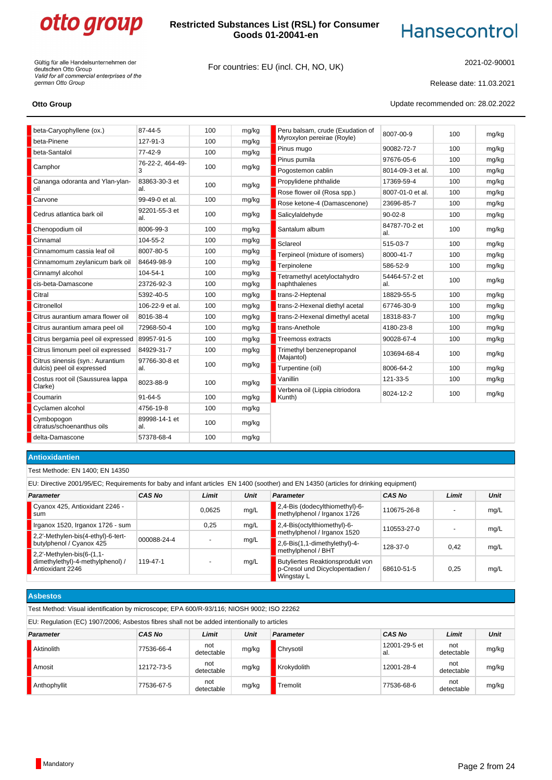#### **Restricted Substances List (RSL) for Consumer Goods 01-20041-en**

## Hansecontrol

Gültig für alle Handelsunternehmen der deutschen Otto Group<br>Valid for all commercial enterprises of the german Otto Group

**Otto Group**

#### 2021-02-90001 For countries: EU (incl. CH, NO, UK)

Release date: 11.03.2021

Update recommended on: 28.02.2022

| beta-Caryophyllene (ox.)                                       | 87-44-5              | 100 | mg/kg | Peru balsam, crude (Exudation of |                      |     |       |
|----------------------------------------------------------------|----------------------|-----|-------|----------------------------------|----------------------|-----|-------|
| beta-Pinene                                                    | 127-91-3             | 100 | mg/kg | Myroxylon pereirae (Royle)       | 8007-00-9            | 100 | mg/kg |
| beta-Santalol                                                  | 77-42-9              | 100 | mg/kg | Pinus mugo                       | 90082-72-7           | 100 | mg/kg |
|                                                                | 76-22-2, 464-49-     |     |       | Pinus pumila                     | 97676-05-6           | 100 | mg/kg |
| Camphor                                                        | 3                    | 100 | mg/kg | Pogostemon cablin                | 8014-09-3 et al.     | 100 | mg/kg |
| Cananga odoranta and Ylan-ylan-<br>oil                         | 83863-30-3 et<br>al. | 100 | mg/kg | Propylidene phthalide            | 17369-59-4           | 100 | mg/kg |
|                                                                |                      |     |       | Rose flower oil (Rosa spp.)      | 8007-01-0 et al.     | 100 | mg/kg |
| Carvone                                                        | 99-49-0 et al.       | 100 | mg/kg | Rose ketone-4 (Damascenone)      | 23696-85-7           | 100 | mg/kg |
| Cedrus atlantica bark oil                                      | 92201-55-3 et<br>al. | 100 | mg/kg | Salicylaldehyde                  | $90-02-8$            | 100 | mg/kg |
| Chenopodium oil                                                | 8006-99-3            | 100 | mg/kg | Santalum album                   | 84787-70-2 et<br>al. | 100 | mg/kg |
| Cinnamal                                                       | 104-55-2             | 100 | mg/kg | Sclareol                         | 515-03-7             | 100 | mg/kg |
| Cinnamomum cassia leaf oil                                     | 8007-80-5            | 100 | mg/kg | Terpineol (mixture of isomers)   | 8000-41-7            | 100 | mg/kg |
| Cinnamomum zeylanicum bark oil                                 | 84649-98-9           | 100 | mg/kg | Terpinolene                      | 586-52-9             | 100 | mg/kg |
| Cinnamyl alcohol                                               | 104-54-1             | 100 | mg/kg | Tetramethyl acetyloctahydro      | 54464-57-2 et        |     |       |
| cis-beta-Damascone                                             | 23726-92-3           | 100 | mg/kg | naphthalenes                     | al.                  | 100 | mg/kg |
| Citral                                                         | 5392-40-5            | 100 | mg/kg | trans-2-Heptenal                 | 18829-55-5           | 100 | mg/kg |
| Citronellol                                                    | 106-22-9 et al.      | 100 | mg/kg | trans-2-Hexenal diethyl acetal   | 67746-30-9           | 100 | mg/kg |
| Citrus aurantium amara flower oil                              | 8016-38-4            | 100 | mg/kg | trans-2-Hexenal dimethyl acetal  | 18318-83-7           | 100 | mg/kg |
| Citrus aurantium amara peel oil                                | 72968-50-4           | 100 | mg/kg | trans-Anethole                   | 4180-23-8            | 100 | mg/kg |
| Citrus bergamia peel oil expressed                             | 89957-91-5           | 100 | mg/kg | <b>Treemoss extracts</b>         | 90028-67-4           | 100 | mg/kg |
| Citrus limonum peel oil expressed                              | 84929-31-7           | 100 | mg/kg | Trimethyl benzenepropanol        | 103694-68-4          | 100 | mg/kg |
| Citrus sinensis (syn.: Aurantium<br>dulcis) peel oil expressed | 97766-30-8 et<br>al. | 100 | mg/kg | (Majantol)<br>Turpentine (oil)   | 8006-64-2            | 100 | mg/kg |
| Costus root oil (Saussurea lappa                               |                      |     |       | Vanillin                         | 121-33-5             | 100 | mg/kg |
| Clarke)                                                        | 8023-88-9            | 100 | mg/kg | Verbena oil (Lippia citriodora   |                      |     |       |
| Coumarin                                                       | $91 - 64 - 5$        | 100 | mg/kg | Kunth)                           | 8024-12-2            | 100 | mg/kg |
| Cyclamen alcohol                                               | 4756-19-8            | 100 | mg/kg |                                  |                      |     |       |
| Cymbopogon<br>citratus/schoenanthus oils                       | 89998-14-1 et<br>al. | 100 | mg/kg |                                  |                      |     |       |
| delta-Damascone                                                | 57378-68-4           | 100 | mg/kg |                                  |                      |     |       |

#### **Antioxidantien**

Test Methode: EN 1400; EN 14350

| EU: Directive 2001/95/EC; Requirements for baby and infant articles EN 1400 (soother) and EN 14350 (articles for drinking equipment) |             |        |      |                                                                                   |             |       |             |  |  |  |
|--------------------------------------------------------------------------------------------------------------------------------------|-------------|--------|------|-----------------------------------------------------------------------------------|-------------|-------|-------------|--|--|--|
| <b>Parameter</b>                                                                                                                     | CAS No      | Limit  | Unit | <b>Parameter</b>                                                                  | CAS No      | Limit | <b>Unit</b> |  |  |  |
| Cyanox 425, Antioxidant 2246 -<br>l sum                                                                                              |             | 0.0625 | mg/L | 2,4-Bis (dodecylthiomethyl)-6-<br>methylphenol / Irganox 1726                     | 110675-26-8 |       | mg/L        |  |  |  |
| Irganox 1520, Irganox 1726 - sum                                                                                                     |             | 0.25   | mg/L | 2,4-Bis(octylthiomethyl)-6-                                                       | 110553-27-0 |       | mq/L        |  |  |  |
| 2,2'-Methylen-bis(4-ethyl)-6-tert-                                                                                                   | 000088-24-4 |        | mg/L | methylphenol / Irganox 1520                                                       |             |       |             |  |  |  |
| butylphenol / Cyanox 425                                                                                                             |             |        |      | 2,6-Bis(1,1-dimethylethyl)-4-                                                     | 128-37-0    | 0.42  | mg/L        |  |  |  |
| $2,2'$ -Methylen-bis(6-(1,1-                                                                                                         |             |        |      | methylphenol / BHT                                                                |             |       |             |  |  |  |
| dimethylethyl)-4-methylphenol) /<br>Antioxidant 2246                                                                                 | 119-47-1    |        | mg/L | Butyliertes Reaktionsprodukt von<br>p-Cresol und Dicyclopentadien /<br>Wingstay L | 68610-51-5  | 0.25  | mg/L        |  |  |  |

#### **Asbestos**

Test Method: Visual identification by microscope; EPA 600/R-93/116; NIOSH 9002; ISO 22262

EU: Regulation (EC) 1907/2006; Asbestos fibres shall not be added intentionally to articles

| LU. I togalation (LU) Touri Loud, Alopoldo hibroo onali hot bo adaoa internany to articleo |               |                   |       |             |                      |                   |       |  |  |  |
|--------------------------------------------------------------------------------------------|---------------|-------------------|-------|-------------|----------------------|-------------------|-------|--|--|--|
| <b>Parameter</b>                                                                           | <b>CAS No</b> | Limit             | Unit  | Parameter   | <b>CAS No</b>        | Limit             | Unit  |  |  |  |
| Aktinolith                                                                                 | 77536-66-4    | not<br>detectable | mg/kg | Chrysotil   | 12001-29-5 et<br>al. | not<br>detectable | mg/kg |  |  |  |
| Amosit                                                                                     | 12172-73-5    | not<br>detectable | mg/kg | Krokydolith | 12001-28-4           | not<br>detectable | mg/kg |  |  |  |
| Anthophyllit                                                                               | 77536-67-5    | not<br>detectable | mg/kg | Tremolit    | 77536-68-6           | not<br>detectable | mg/kg |  |  |  |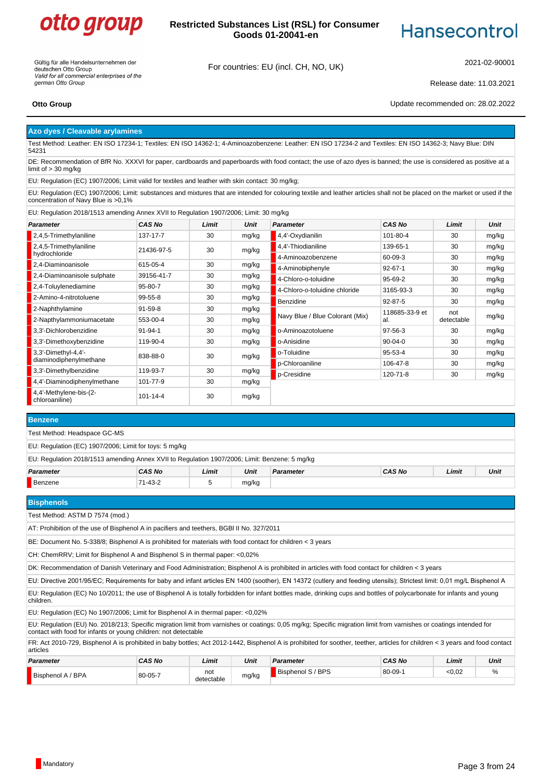

### Hansecontrol

Gültig für alle Handelsunternehmen der deutschen Otto Group Valid for all commercial enterprises of the german Otto Group

2021-02-90001 For countries: EU (incl. CH, NO, UK)

Release date: 11.03.2021

Update recommended on: 28.02.2022

#### **Otto Group**

#### **Azo dyes / Cleavable arylamines**

Test Method: Leather: EN ISO 17234-1; Textiles: EN ISO 14362-1; 4-Aminoazobenzene: Leather: EN ISO 17234-2 and Textiles: EN ISO 14362-3; Navy Blue: DIN 54231

DE: Recommendation of BfR No. XXXVI for paper, cardboards and paperboards with food contact; the use of azo dyes is banned; the use is considered as positive at a limit of  $> 30$  mg/kg

EU: Regulation (EC) 1907/2006; Limit valid for textiles and leather with skin contact: 30 mg/kg;

EU: Regulation (EC) 1907/2006; Limit: substances and mixtures that are intended for colouring textile and leather articles shall not be placed on the market or used if the concentration of Navy Blue is >0,1%

EU: Regulation 2018/1513 amending Annex XVII to Regulation 1907/2006; Limit: 30 mg/kg

| <b>Parameter</b>                         | <b>CAS No</b>  | Limit | <b>Unit</b> | <b>Parameter</b>                | <b>CAS No</b>  | Limit      | Unit  |
|------------------------------------------|----------------|-------|-------------|---------------------------------|----------------|------------|-------|
| $\vert$ 2,4,5-Trimethylaniline           | 137-17-7       | 30    | mg/kg       | 4,4'-Oxydianilin                | 101-80-4       | 30         | mg/kg |
| 2,4,5-Trimethylaniline                   | 21436-97-5     | 30    | mg/kg       | 4,4'-Thiodianiline              | 139-65-1       | 30         | mg/kg |
| hydrochloride                            |                |       |             | 4-Aminoazobenzene               | 60-09-3        | 30         | mg/kg |
| 2,4-Diaminoanisole                       | 615-05-4       | 30    | mg/kg       | 4-Aminobiphenyle                | $92 - 67 - 1$  | 30         | mg/kg |
| 2,4-Diaminoanisole sulphate              | 39156-41-7     | 30    | mg/kg       | 4-Chloro-o-toluidine            | 95-69-2        | 30         | mg/kg |
| 2,4-Toluylenediamine                     | 95-80-7        | 30    | mg/kg       | 4-Chloro-o-toluidine chloride   | 3165-93-3      | 30         | mg/kg |
| 2-Amino-4-nitrotoluene                   | 99-55-8        | 30    | mg/kg       | Benzidine                       | $92 - 87 - 5$  | 30         | mg/kg |
| 2-Naphthylamine                          | $91 - 59 - 8$  | 30    | mg/kg       |                                 | 118685-33-9 et | not        |       |
| 2-Napthylammoniumacetate                 | 553-00-4       | 30    | mg/kg       | Navy Blue / Blue Colorant (Mix) | al.            | detectable | mg/kg |
| 3,3'-Dichlorobenzidine                   | 91-94-1        | 30    | mg/kg       | o-Aminoazotoluene               | 97-56-3        | 30         | mg/kg |
| 3,3'-Dimethoxybenzidine                  | 119-90-4       | 30    | mg/kg       | o-Anisidine                     | $90 - 04 - 0$  | 30         | mg/kg |
| 3,3'-Dimethyl-4,4'-                      | 838-88-0       | 30    | mg/kg       | o-Toluidine                     | 95-53-4        | 30         | mg/kg |
| diaminodiphenylmethane                   |                |       |             | p-Chloroaniline                 | 106-47-8       | 30         | mg/kg |
| 3,3'-Dimethylbenzidine                   | 119-93-7       | 30    | mg/kg       | p-Cresidine                     | 120-71-8       | 30         | mg/kg |
| 4,4'-Diaminodiphenylmethane              | 101-77-9       | 30    | mg/kg       |                                 |                |            |       |
| 4,4'-Methylene-bis-(2-<br>chloroaniline) | $101 - 14 - 4$ | 30    | mg/kg       |                                 |                |            |       |

#### **Benzene**

Test Method: Headspace GC-MS

EU: Regulation (EC) 1907/2006; Limit for toys: 5 mg/kg

| EU: Regulation 2018/1513 amending Annex XVII to Regulation 1907/2006; Limit: Benzene: 5 mg/kg |                                                                               |  |       |  |  |  |  |  |  |  |
|-----------------------------------------------------------------------------------------------|-------------------------------------------------------------------------------|--|-------|--|--|--|--|--|--|--|
| <b>Parameter</b>                                                                              | Unit<br><b>CAS No</b><br>Unit<br>CAS No<br>Limit<br>Limit<br><b>Parameter</b> |  |       |  |  |  |  |  |  |  |
| Benzene                                                                                       | 71-43-2                                                                       |  | mg/kg |  |  |  |  |  |  |  |

#### **Bisphenols**

Test Method: ASTM D 7574 (mod.)

AT: Prohibition of the use of Bisphenol A in pacifiers and teethers, BGBLILNo. 327/2011

BE: Document No. 5-338/8; Bisphenol A is prohibited for materials with food contact for children < 3 years

CH: ChemRRV; Limit for Bisphenol A and Bisphenol S in thermal paper: <0,02%

DK: Recommendation of Danish Veterinary and Food Administration; Bisphenol A is prohibited in articles with food contact for children < 3 years

EU: Directive 2001/95/EC; Requirements for baby and infant articles EN 1400 (soother), EN 14372 (cutlery and feeding utensils); Strictest limit: 0,01 mg/L Bisphenol A EU: Regulation (EC) No 10/2011; the use of Bisphenol A is totally forbidden for infant bottles made, drinking cups and bottles of polycarbonate for infants and young children.

EU: Regulation (EC) No 1907/2006; Limit for Bisphenol A in thermal paper: <0,02%

EU: Regulation (EU) No. 2018/213; Specific migration limit from varnishes or coatings: 0,05 mg/kg; Specific migration limit from varnishes or coatings intended for contact with food for infants or young children: not detectable

FR: Act 2010-729, Bisphenol A is prohibited in baby bottles; Act 2012-1442, Bisphenol A is prohibited for soother, teether, articles for children < 3 years and food contact articles

| <b>Parameter</b>                        | <b>CAS No</b> | Limit      | Unit  | <b>Parameter</b>        | <b>CAS No</b> | Limit  | Unit |
|-----------------------------------------|---------------|------------|-------|-------------------------|---------------|--------|------|
| <b>BPA</b><br>Bisphenol<br>$\mathbf{a}$ | $80 - 05 - 7$ | not        | mg/kg | <b>BPS</b><br>Bisphenol | 80-09-1       | < 0.02 |      |
|                                         |               | detectable |       |                         |               |        |      |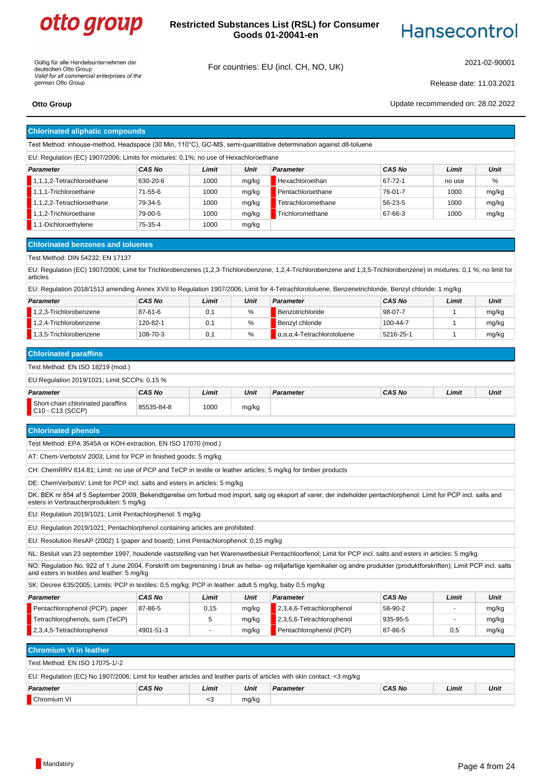

### Hansecontrol

Gültig für alle Handelsunternehmen der deutschen Otto Grour Valid for all commercial enterprises of the german Otto Group

2021-02-90001 For countries: EU (incl. CH, NO, UK)

Release date: 11.03.2021

Update recommended on: 28.02.2022

#### **Otto Group**

#### **Chlorinated aliphatic compounds** Test Method: inhouse-method, Headspace (30 Min, 110°C), GC-MS, semi-quantitative determination against d8-toluene EU: Regulation (EC) 1907/2006; Limits for mixtures: 0,1%; no use of Hexachloroethane **Parameter CAS No Limit Unit Parameter CAS No Limit Unit** 1,1,1,2-Tetrachloroethane 630-20-6 1000 mg/kg 1,1,1-Trichloroethane 71-55-6 1000 mg/kg 1,1,2,2-Tetrachloroethane 79-34-5 1000 mg/kg 1,1,2-Trichloroethane 79-00-5 1000 mg/kg **1,1-Dichloroethylene** 75-35-4 1000 mg/kg **Hexachloroethan** 67-72-1 no use % Pentachloroethane 76-01-7 1000 mg/kg Tetrachloromethane 56-23-5 1000 mg/kg Trichloromethane 67-66-3 1000 mg/kg **Chlorinated benzenes and toluenes** Test Method: DIN 54232; EN 17137 EU: Regulation (EC) 1907/2006; Limit for Trichlorobenzenes (1,2,3-Trichlorobenzene, 1,2,4-Trichlorobenzene and 1,3,5-Trichlorobenzene) in mixtures: 0,1 %; no limit for articles EU: Regulation 2018/1513 amending Annex XVII to Regulation 1907/2006; Limit for 4-Tetrachlorotoluene, Benzenetrichloride, Benzyl chloride: 1 mg/kg **Parameter CAS No Limit Unit Parameter CAS No Limit Unit** 1,2,3-Trichlorobenzene 87-61-6 0,1 % 1,2,4-Trichlorobenzene 120-82-1 0,1 % 1,3,5-Trichlorobenzene 108-70-3 0,1 % Benzotrichloride 98-07-7 1 mg/kg Benzyl chloride **100-44-7** 1 mg/kg α,α,α,4-Tetrachlorotoluene 5216-25-1 1 mg/kg **Chlorinated paraffins**  Test Method: EN ISO 18219 (mod.) EU:Regulation 2019/1021; Limit SCCPs: 0,15 % **Parameter CAS No Limit Unit Parameter CAS No Limit Unit** Short-chain chlorinated paraffins Short-chain chlorinated paraffins 85535-84-8 1000 mg/kg

#### **Chlorinated phenols**

Test Method: EPA 3545A or KOH-extraction, EN ISO 17070 (mod.)

AT: Chem-VerbotsV 2003; Limit for PCP in finished goods: 5 mg/kg

CH: ChemRRV 814.81; Limit: no use of PCP and TeCP in textile or leather articles; 5 mg/kg for timber products

DE: ChemVerbotsV; Limit for PCP incl. salts and esters in articles: 5 mg/kg

DK: BEK nr 854 af 5 September 2009, Bekendtgørelse om forbud mod import, salg og eksport af varer, der indeholder pentachlorphenol: Limit for PCP incl. salts and esters in Verbraucherprodukten: 5 mg/kg

EU: Regulation 2019/1021; Limit Pentachlorphenol: 5 mg/kg

EU: Regulation 2019/1021; Pentachlorphenol containing articles are prohibited

EU: Resolution ResAP (2002) 1 (paper and board); Limit Pentachlorophenol: 0,15 mg/kg

NL: Besluit van 23 september 1997, houdende vaststelling van het Warenwetbesluit Pentachloorfenol; Limit for PCP incl. salts and esters in articles: 5 mg/kg

NO: Regulation No. 922 of 1 June 2004, Forskrift om begrensning i bruk av helse- og miljøfarlige kjemikalier og andre produkter (produktforskriften); Limit PCP incl. salts and esters in textiles and leather: 5 mg/kg

SK: Decree 635/2005; Limits: PCP in textiles: 0,5 mg/kg; PCP in leather: adult 5 mg/kg, baby 0,5 mg/kg

| Parameter                      | CAS No    | Limit | Unit  | Parameter                    | <b>CAS No</b> | Limit                    | Unit  |
|--------------------------------|-----------|-------|-------|------------------------------|---------------|--------------------------|-------|
| Pentachlorophenol (PCP), paper | 87-86-5   | 0,15  | mg/kg | $2,3,4,6$ -Tetrachlorophenol | 58-90-2       | $\overline{\phantom{0}}$ | mg/kg |
| Tetrachlorophenols, sum (TeCP) |           |       | mg/kg | 2,3,5,6-Tetrachlorophenol    | 935-95-5      |                          | mg/kg |
| 2,3,4,5-Tetrachlorophenol      | 4901-51-3 |       | mg/kg | Pentachlorophenol (PCP)      | 87-86-5       | 0,5                      | mg/kg |

| <b>Chromium VI in leather</b>                                                                                          |  |    |       |  |  |  |  |  |  |  |
|------------------------------------------------------------------------------------------------------------------------|--|----|-------|--|--|--|--|--|--|--|
| Test Method: EN ISO 17075-1/-2                                                                                         |  |    |       |  |  |  |  |  |  |  |
| EU: Regulation (EC) No 1907/2006; Limit for leather articles and leather parts of articles with skin contact: <3 mg/kg |  |    |       |  |  |  |  |  |  |  |
| <b>CAS No</b><br><b>CAS No</b><br>Unit<br>Limit<br>Unit<br>Limit<br><b>Parameter</b><br><b>Parameter</b>               |  |    |       |  |  |  |  |  |  |  |
| Chromium VI                                                                                                            |  | <3 | mg/kg |  |  |  |  |  |  |  |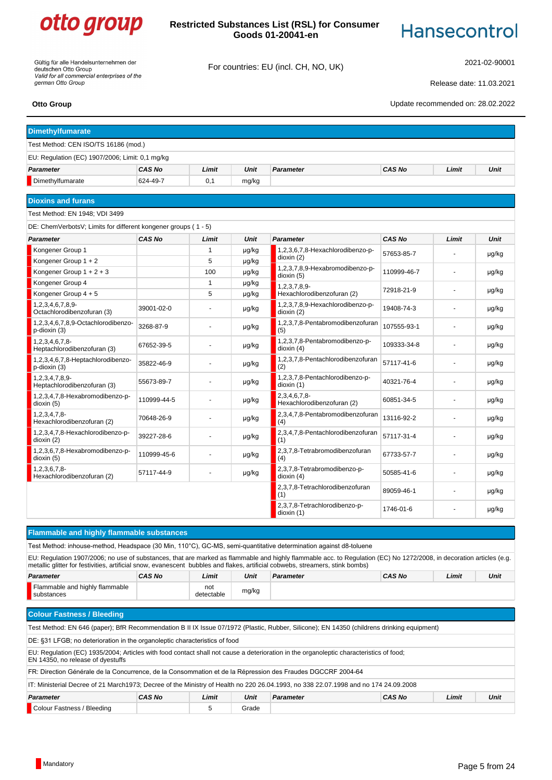### **Otto group** Restricted Substances List (RSL) for Consumer **Goods 01-20041-en**

### Hansecontrol

2021-02-90001 For countries: EU (incl. CH, NO, UK)

Release date: 11.03.2021

Update recommended on: 28.02.2022

#### **Dimethylfumarate** Test Method: CEN ISO/TS 16186 (mod.) EU: Regulation (EC) 1907/2006; Limit: 0,1 mg/kg **Parameter CAS No Limit Unit Parameter CAS No Limit Unit** Dimethylfumarate 624-49-7 | 0,1 mg/kg **Dioxins and furans** Test Method: EN 1948; VDI 3499 DE: ChemVerbotsV; Limits for different kongener groups ( 1 - 5) **Parameter CAS No Limit Unit Parameter CAS No Limit Unit** Kongener Group 1 1 ug/kg Kongener Group  $1 + 2$   $\phantom{1}$  5  $\phantom{1}$  µg/kg Kongener Group  $1 + 2 + 3$   $\vert$  100  $\vert$   $\vert$   $\vert$   $\vert$ g/kg Kongener Group 4 **1** 1 µg/kg Kongener Group 4 + 5 and 5 and 5 pg/kg 1,2,3,4,6,7,8,9- Octachlorodibenzofuran (3) 39001-02-0 - µg/kg 1,2,3,4,6,7,8,9-Octachlorodibenzo-p-dioxin (3) 3268-87-9 - µg/kg 1,2,3,4,6,7,8- 1,2,3,4,6,7,8-<br>Heptachlorodibenzofuran (3) 67652-39-5 1,2,3,4,6,7,8-Heptachlorodibenzo-p-dioxin (3) 35822-46-9 - µg/kg 1,2,3,4,7,8,9- Heptachlorodibenzofuran (3) 55673-89-7 - µg/kg 1,2,3,4,7,8-Hexabromodibenzo-pdioxin (5) 110999-44-5 - µg/kg 1,2,3,4,7,8-  $H = \begin{array}{c|c} 1,2,3,4,7,8 \\ \end{array}$  Hexachlorodibenzofuran (2)  $\begin{array}{ccc} 70648-26-9 & \end{array}$  ug/kg 1,2,3,4,7,8-Hexachlorodibenzo-pdioxin (2) 39227-28-6 - 120 yg/kg 1,2,3,6,7,8-Hexabromodibenzo-pdioxin (5) 110999-45-6 - µg/kg 1,2,3,6,7,8- 1,2,3,6,7,8-<br>Hexachlorodibenzofuran (2) 57117-44-9 1,2,3,6,7,8-Hexachlorodibenzo-pdioxin (2) 57653-85-7 - µg/kg 1,2,3,7,8,9-Hexabromodibenzo-pdioxin (5) <sup>1</sup>/2,0,7,0,9-1 lexabromodiberizo-p<sup>2</sup> 110999-46-7 **- Participal Provident Providence** Providence Pro 1,2,3,7,8,9- Hexachlorodibenzofuran (2) 72918-21-9 - µg/kg 1,2,3,7,8,9-Hexachlorodibenzo-pdioxin (2) 19408-74-3 - µg/kg 1,2,3,7,8-Pentabromodibenzofuran (5)  $\left| \begin{array}{c} 1,2,3,7,0-1 \end{array} \right|$  entable influenze durant  $\left| \begin{array}{c} 107555-93-1 \end{array} \right|$   $\left| \begin{array}{c} 1 \end{array} \right|$   $\left| \begin{array}{c} 1 \end{array} \right|$ 1,2,3,7,8-Pentabromodibenzo-pdioxin (4) 109333-34-8 - µg/kg 1,2,3,7,8-Pentachlorodibenzofuran 57117-41-6 en die group ug/kg 1,2,3,7,8-Pentachlorodibenzo-pdioxin (1) 40321-76-4 - µg/kg 2,3,4,6,7,8- Hexachlorodibenzofuran (2) 60851-34-5 - µg/kg  $2,3,4,7,8$ -Pentabromodibenzofuran  $(4)$  Primabiomodiberizordram 13116-92-2 erg/kg 2,3,4,7,8-Pentachlorodibenzofuran 57117-31-4 - pg/kg<br>(1) 2.3,7,8-Tetrabromodibenzofuran  $(4)$  Penabromodibenzondram  $(67733-57-7)$  Pg/kg 2,3,7,8-Tetrabromodibenzo-p-dioxin (4) 50585-41-6 - µg/kg 2,3,7,8-Tetrachlorodibenzofuran 89059-46-1 - pg/kg<br>(1) 2,3,7,8-Tetrachlorodibenzo-p-2,0,7,0-Tetrachiologiberizo-p- 1746-01-6 - provident pg/kg **Flammable and highly flammable substances** Test Method: inhouse-method, Headspace (30 Min, 110°C), GC-MS, semi-quantitative determination against d8-toluene EU: Regulation 1907/2006; no use of substances, that are marked as flammable and highly flammable acc. to Regulation (EC) No 1272/2008, in decoration articles (e.g. metallic glitter for festivities, artificial snow, evanescent bubbles and flakes, artificial cobwebs, streamers, stink bombs) **Parameter CAS No Limit Unit Parameter CAS No Limit Unit** Flammable and highly flammable substances not not<br>detectable mg/kg **Colour Fastness / Bleeding** Test Method: EN 646 (paper); BfR Recommendation B II IX Issue 07/1972 (Plastic, Rubber, Silicone); EN 14350 (childrens drinking equipment) DE: §31 LFGB; no deterioration in the organoleptic characteristics of food EU: Regulation (EC) 1935/2004; Articles with food contact shall not cause a deterioration in the organoleptic characteristics of food; EN 14350, no release of dyestuffs FR: Direction Générale de la Concurrence, de la Consommation et de la Répression des Fraudes DGCCRF 2004-64 IT: Ministerial Decree of 21 March1973; Decree of the Ministry of Health no 220 26.04.1993, no 338 22.07.1998 and no 174 24.09.2008 **Parameter CAS No Limit Unit Parameter CAS No Limit Unit Colour Fastness / Bleeding The Colour Fastness / Bleeding The Colour Fastness / Bleeding The Colour The Colour**

**Otto Group**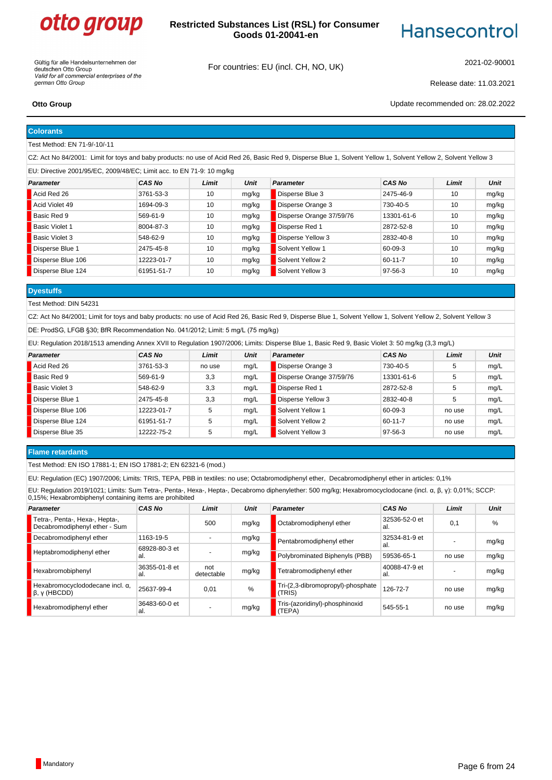**Restricted Substances List (RSL) for Consumer Goods 01-20041-en**

### Hansecontrol

Gültig für alle Handelsunternehmen der deutschen Otto Group Valid for all commercial enterprises of the german Otto Group

### 2021-02-90001 For countries: EU (incl. CH, NO, UK)

Release date: 11.03.2021

Update recommended on: 28.02.2022

#### **Otto Group**

#### **Colorants**

#### Test Method: EN 71-9/-10/-11

CZ: Act No 84/2001: Limit for toys and baby products: no use of Acid Red 26, Basic Red 9, Disperse Blue 1, Solvent Yellow 1, Solvent Yellow 2, Solvent Yellow 3

| EU: Directive 2001/95/EC, 2009/48/EC; Limit acc. to EN 71-9: 10 mg/kg |            |       |       |                          |            |       |       |  |  |  |  |
|-----------------------------------------------------------------------|------------|-------|-------|--------------------------|------------|-------|-------|--|--|--|--|
| <b>Parameter</b>                                                      | CAS No     | Limit | Unit  | <b>Parameter</b>         | CAS No     | Limit | Unit  |  |  |  |  |
| Acid Red 26                                                           | 3761-53-3  | 10    | mg/kg | Disperse Blue 3          | 2475-46-9  | 10    | mg/kg |  |  |  |  |
| Acid Violet 49                                                        | 1694-09-3  | 10    | mg/kg | Disperse Orange 3        | 730-40-5   | 10    | mg/kg |  |  |  |  |
| Basic Red 9                                                           | 569-61-9   | 10    | mg/kg | Disperse Orange 37/59/76 | 13301-61-6 | 10    | mg/kg |  |  |  |  |
| <b>Basic Violet 1</b>                                                 | 8004-87-3  | 10    | mg/kg | Disperse Red 1           | 2872-52-8  | 10    | mg/kg |  |  |  |  |
| <b>Basic Violet 3</b>                                                 | 548-62-9   | 10    | mg/kg | Disperse Yellow 3        | 2832-40-8  | 10    | mg/kg |  |  |  |  |
| Disperse Blue 1                                                       | 2475-45-8  | 10    | mg/kg | Solvent Yellow 1         | 60-09-3    | 10    | mg/kg |  |  |  |  |
| Disperse Blue 106                                                     | 12223-01-7 | 10    | mg/kg | Solvent Yellow 2         | 60-11-7    | 10    | mg/kg |  |  |  |  |
| Disperse Blue 124                                                     | 61951-51-7 | 10    | mg/kg | Solvent Yellow 3         | 97-56-3    | 10    | mg/kg |  |  |  |  |

#### **Dyestuffs**

#### Test Method: DIN 54231

CZ: Act No 84/2001; Limit for toys and baby products: no use of Acid Red 26, Basic Red 9, Disperse Blue 1, Solvent Yellow 1, Solvent Yellow 2, Solvent Yellow 3 DE: ProdSG, LFGB §30; BfR Recommendation No. 041/2012; Limit: 5 mg/L (75 mg/kg)

EU: Regulation 2018/1513 amending Annex XVII to Regulation 1907/2006; Limits: Disperse Blue 1, Basic Red 9, Basic Violet 3: 50 mg/kg (3,3 mg/L)

| <b>Parameter</b>  | <b>CAS No</b> | Limit  | Unit | Parameter                | <b>CAS No</b> | Limit  | Unit |
|-------------------|---------------|--------|------|--------------------------|---------------|--------|------|
| Acid Red 26       | 3761-53-3     | no use | mg/L | Disperse Orange 3        | 730-40-5      | 5      | mg/L |
| Basic Red 9       | 569-61-9      | 3,3    | mg/L | Disperse Orange 37/59/76 | 13301-61-6    | 5      | mg/L |
| Basic Violet 3    | 548-62-9      | 3,3    | mg/L | Disperse Red 1           | 2872-52-8     | 5      | mg/L |
| Disperse Blue 1   | 2475-45-8     | 3,3    | mg/L | Disperse Yellow 3        | 2832-40-8     | 5      | mg/L |
| Disperse Blue 106 | 12223-01-7    |        | mg/L | Solvent Yellow 1         | 60-09-3       | no use | mg/L |
| Disperse Blue 124 | 61951-51-7    | 5      | mg/L | Solvent Yellow 2         | $60 - 11 - 7$ | no use | mg/L |
| Disperse Blue 35  | 12222-75-2    | 5      | mg/L | Solvent Yellow 3         | 97-56-3       | no use | mg/L |

#### **Flame retardants**

Test Method: EN ISO 17881-1; EN ISO 17881-2; EN 62321-6 (mod.)

EU: Regulation (EC) 1907/2006; Limits: TRIS, TEPA, PBB in textiles: no use; Octabromodiphenyl ether, Decabromodiphenyl ether in articles: 0,1%

EU: Regulation 2019/1021; Limits: Sum Tetra-, Penta-, Hexa-, Hepta-, Decabromo diphenylether: 500 mg/kg; Hexabromocyclodocane (incl. α, β, γ): 0,01%; SCCP: 0,15%; Hexabrombiphenyl containing items are prohibited

| <b>Parameter</b>                                                | CAS No               | Limit             | <b>Unit</b> | Parameter                                   | CAS No               | Limit  | <b>Unit</b> |
|-----------------------------------------------------------------|----------------------|-------------------|-------------|---------------------------------------------|----------------------|--------|-------------|
| Tetra-, Penta-, Hexa-, Hepta-,<br>Decabromodiphenyl ether - Sum |                      | 500               | mg/kg       | Octabromodiphenyl ether                     | 32536-52-0 et<br>al. | 0.1    | %           |
| Decabromodiphenyl ether                                         | 1163-19-5            |                   | mg/kg       | Pentabromodiphenyl ether                    | 32534-81-9 et        |        | mg/kg       |
|                                                                 | 68928-80-3 et        |                   |             |                                             | aı.                  |        |             |
| Heptabromodiphenyl ether                                        | al.                  |                   | mg/kg       | Polybrominated Biphenyls (PBB)              | 59536-65-1           | no use | mg/kg       |
| Hexabromobiphenvl                                               | 36355-01-8 et<br>al. | not<br>detectable | mg/kg       | Tetrabromodiphenyl ether                    | 40088-47-9 et<br>al. |        | mg/kg       |
| Hexabromocyclododecane incl. α,<br>$\beta$ , $\gamma$ (HBCDD)   | 25637-99-4           | 0,01              | %           | Tri-(2,3-dibromopropyl)-phosphate<br>(TRIS) | 126-72-7             | no use | mg/kg       |
| Hexabromodiphenyl ether                                         | 36483-60-0 et<br>al. |                   | mg/kg       | Tris-(azoridinyl)-phosphinoxid<br>(TEPA)    | 545-55-1             | no use | mg/kg       |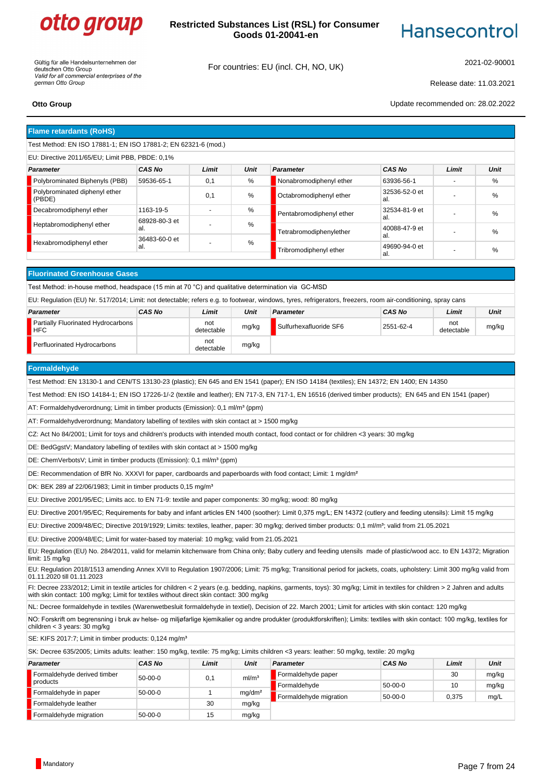

Valid for all commercial enterprises of the

**Restricted Substances List (RSL) for Consumer Goods 01-20041-en**

### Hansecontrol

2021-02-90001 For countries: EU (incl. CH, NO, UK)

Release date: 11.03.2021

Update recommended on: 28.02.2022

#### **Otto Group**

deutschen Otto Group

german Otto Group

#### **Flame retardants (RoHS)**

Test Method: EN ISO 17881-1; EN ISO 17881-2; EN 62321-6 (mod.)

| EU: Directive 2011/65/EU; Limit PBB, PBDE: 0,1% |               |       |      |                          |                      |       |             |  |  |  |  |
|-------------------------------------------------|---------------|-------|------|--------------------------|----------------------|-------|-------------|--|--|--|--|
| <b>Parameter</b>                                | <b>CAS No</b> | Limit | Unit | <b>Parameter</b>         | CAS No               | Limit | <b>Unit</b> |  |  |  |  |
| Polybrominated Biphenyls (PBB)                  | 59536-65-1    | 0,1   | %    | Nonabromodiphenyl ether  | 63936-56-1           |       | %           |  |  |  |  |
| Polybrominated diphenyl ether<br>(PBDE)         |               | 0,1   | %    | Octabromodiphenyl ether  | 32536-52-0 et<br>al. |       | %           |  |  |  |  |
| Decabromodiphenyl ether                         | 1163-19-5     |       | %    | Pentabromodiphenyl ether | 32534-81-9 et        |       | %           |  |  |  |  |
|                                                 | 68928-80-3 et |       | %    |                          | al.                  |       |             |  |  |  |  |
| Heptabromodiphenyl ether                        | al.           |       |      | Tetrabromodiphenylether  | 40088-47-9 et<br>al. |       | %           |  |  |  |  |
| Hexabromodiphenyl ether                         | 36483-60-0 et |       | %    |                          |                      |       |             |  |  |  |  |
|                                                 | al.           |       |      | Tribromodiphenyl ether   | 49690-94-0 et<br>al. |       | %           |  |  |  |  |

#### **Fluorinated Greenhouse Gases**

Test Method: in-house method, headspace (15 min at 70 °C) and qualitative determination via GC-MSD

| EU: Regulation (EU) Nr. 517/2014; Limit: not detectable; refers e.g. to footwear, windows, tyres, refrigerators, freezers, room air-conditioning, spray cans |        |                   |       |                        |               |                   |       |  |  |  |  |
|--------------------------------------------------------------------------------------------------------------------------------------------------------------|--------|-------------------|-------|------------------------|---------------|-------------------|-------|--|--|--|--|
| <b>Parameter</b>                                                                                                                                             | CAS No | Limit             | Unit  | <b>Parameter</b>       | <b>CAS No</b> | Limit             | Unit  |  |  |  |  |
| Partially Fluorinated Hydrocarbons<br><b>HFC</b>                                                                                                             |        | not<br>detectable | mg/kg | Sulfurhexafluoride SF6 | 2551-62-4     | not<br>detectable | mg/kg |  |  |  |  |
| Perfluorinated Hydrocarbons                                                                                                                                  |        | not<br>detectable | mg/kg |                        |               |                   |       |  |  |  |  |

#### **Formaldehyde**

Test Method: EN 13130-1 and CEN/TS 13130-23 (plastic); EN 645 and EN 1541 (paper); EN ISO 14184 (textiles); EN 14372; EN 1400; EN 14350

Test Method: EN ISO 14184-1; EN ISO 17226-1/-2 (textile and leather); EN 717-3, EN 717-1, EN 16516 (derived timber products); EN 645 and EN 1541 (paper)

AT: Formaldehydverordnung; Limit in timber products (Emission): 0,1 ml/m<sup>3</sup> (ppm)

AT: Formaldehydverordnung; Mandatory labelling of textiles with skin contact at > 1500 mg/kg

CZ: Act No 84/2001; Limit for toys and children's products with intended mouth contact, food contact or for children <3 years: 30 mg/kg

DE: BedGgstV; Mandatory labelling of textiles with skin contact at > 1500 mg/kg

DE: ChemVerbotsV; Limit in timber products (Emission): 0,1 ml/m<sup>3</sup> (ppm)

DE: Recommendation of BfR No. XXXVI for paper, cardboards and paperboards with food contact; Limit: 1 mg/dm<sup>2</sup>

DK: BEK 289 af 22/06/1983; Limit in timber products 0.15 mg/m<sup>3</sup>

EU: Directive 2001/95/EC; Limits acc. to EN 71-9: textile and paper components: 30 mg/kg; wood: 80 mg/kg

EU: Directive 2001/95/EC; Requirements for baby and infant articles EN 1400 (soother): Limit 0,375 mg/L; EN 14372 (cutlery and feeding utensils): Limit 15 mg/kg

EU: Directive 2009/48/EC; Directive 2019/1929; Limits: textiles, leather, paper: 30 mg/kg; derived timber products: 0,1 ml/m³; valid from 21.05.2021

EU: Directive 2009/48/EC; Limit for water-based toy material: 10 mg/kg; valid from 21.05.2021

EU: Regulation (EU) No. 284/2011, valid for melamin kitchenware from China only; Baby cutlery and feeding utensils made of plastic/wood acc. to EN 14372; Migration limit: 15 mg/kg

EU: Regulation 2018/1513 amending Annex XVII to Regulation 1907/2006; Limit: 75 mg/kg; Transitional period for jackets, coats, upholstery: Limit 300 mg/kg valid from 01.11.2020 till 01.11.2023

FI: Decree 233/2012; Limit in textile articles for children < 2 years (e.g. bedding, napkins, garments, toys): 30 mg/kg; Limit in textiles for children > 2 Jahren and adults with skin contact: 100 mg/kg; Limit for textiles without direct skin contact: 300 mg/kg

NL: Decree formaldehyde in textiles (Warenwetbesluit formaldehyde in textiel), Decision of 22. March 2001; Limit for articles with skin contact: 120 mg/kg

NO: Forskrift om begrensning i bruk av helse- og miljøfarlige kjemikalier og andre produkter (produktforskriften); Limits: textiles with skin contact: 100 mg/kg, textiles for children < 3 years: 30 mg/kg

SE: KIFS 2017:7; Limit in timber products: 0,124 mg/m<sup>3</sup>

SK: Decree 635/2005; Limits adults: leather: 150 mg/kg, textile: 75 mg/kg; Limits children <3 years: leather: 50 mg/kg, textile: 20 mg/kg

| <b>Parameter</b>            | <b>CAS No</b> | Limit | Unit               | <b>Parameter</b>       | <b>CAS No</b> | Limit | Unit  |
|-----------------------------|---------------|-------|--------------------|------------------------|---------------|-------|-------|
| Formaldehyde derived timber | $50-00-0$     | 0.1   | ml/m <sup>3</sup>  | Formaldehyde paper     |               | 30    | mg/kg |
| products                    |               |       |                    | Formaldehyde           | $50-00-0$     | 10    | mg/kg |
| Formaldehyde in paper       | $50-00-0$     |       | mq/dm <sup>2</sup> | Formaldehyde migration | $50-00-0$     | 0.375 | mg/L  |
| Formaldehyde leather        |               | 30    | mg/kg              |                        |               |       |       |
| Formaldehyde migration      | $50-00-0$     | 15    | mg/kg              |                        |               |       |       |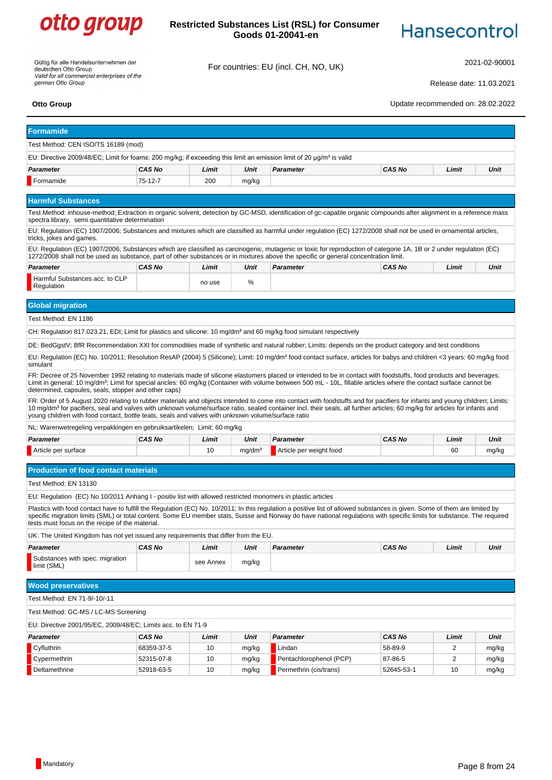

### Hansecontrol

2021-02-90001 For countries: EU (incl. CH, NO, UK)

Release date: 11.03.2021

Update recommended on: 28.02.2022

| <b>Formamide</b>                                                                                                                                                                                                                                                                                                                                                                                                                                                             |               |           |                    |                         |               |                         |       |
|------------------------------------------------------------------------------------------------------------------------------------------------------------------------------------------------------------------------------------------------------------------------------------------------------------------------------------------------------------------------------------------------------------------------------------------------------------------------------|---------------|-----------|--------------------|-------------------------|---------------|-------------------------|-------|
| Test Method: CEN ISO/TS 16189 (mod)                                                                                                                                                                                                                                                                                                                                                                                                                                          |               |           |                    |                         |               |                         |       |
| EU: Directive 2009/48/EC; Limit for foams: 200 mg/kg; if exceeding this limit an emission limit of 20 μg/m <sup>3</sup> is valid                                                                                                                                                                                                                                                                                                                                             |               |           |                    |                         |               |                         |       |
| <b>Parameter</b>                                                                                                                                                                                                                                                                                                                                                                                                                                                             | <b>CAS No</b> | Limit     | Unit               | <b>Parameter</b>        | <b>CAS No</b> | Limit                   | Unit  |
| Formamide                                                                                                                                                                                                                                                                                                                                                                                                                                                                    | 75-12-7       | 200       | mg/kg              |                         |               |                         |       |
| <b>Harmful Substances</b>                                                                                                                                                                                                                                                                                                                                                                                                                                                    |               |           |                    |                         |               |                         |       |
| Test Method: inhouse-method; Extraction in organic solvent, detection by GC-MSD, identification of gc-capable organic compounds after alignment in a reference mass<br>spectra library, semi quantitative determination                                                                                                                                                                                                                                                      |               |           |                    |                         |               |                         |       |
| EU: Regulation (EC) 1907/2006; Substances and mixtures which are classified as harmful under regulation (EC) 1272/2008 shall not be used in ornamental articles,<br>tricks, jokes and games.                                                                                                                                                                                                                                                                                 |               |           |                    |                         |               |                         |       |
| EU: Regulation (EC) 1907/2006; Substances which are classified as carcinogenic, mutagenic or toxic for reproduction of categorie 1A, 1B or 2 under regulation (EC)<br>1272/2008 shall not be used as substance, part of other substances or in mixtures above the specific or general concentration limit.                                                                                                                                                                   |               |           |                    |                         |               |                         |       |
| <b>Parameter</b>                                                                                                                                                                                                                                                                                                                                                                                                                                                             | <b>CAS No</b> | Limit     | Unit               | <b>Parameter</b>        | <b>CAS No</b> | Limit                   | Unit  |
| Harmful Substances acc. to CLP<br>Regulation                                                                                                                                                                                                                                                                                                                                                                                                                                 |               | no use    | ℅                  |                         |               |                         |       |
| <b>Global migration</b>                                                                                                                                                                                                                                                                                                                                                                                                                                                      |               |           |                    |                         |               |                         |       |
| Test Method: EN 1186                                                                                                                                                                                                                                                                                                                                                                                                                                                         |               |           |                    |                         |               |                         |       |
|                                                                                                                                                                                                                                                                                                                                                                                                                                                                              |               |           |                    |                         |               |                         |       |
| CH: Regulation 817.023.21, EDI; Limit for plastics and silicone: 10 mg/dm <sup>2</sup> and 60 mg/kg food simulant respectively                                                                                                                                                                                                                                                                                                                                               |               |           |                    |                         |               |                         |       |
| DE: BedGgstV; BfR Recommendation XXI for commodities made of synthetic and natural rubber; Limits: depends on the product category and test conditions                                                                                                                                                                                                                                                                                                                       |               |           |                    |                         |               |                         |       |
| EU: Regulation (EC) No. 10/2011; Resolution ResAP (2004) 5 (Silicone); Limit: 10 mg/dm <sup>2</sup> food contact surface, articles for babys and children <3 years: 60 mg/kg food<br>simulant                                                                                                                                                                                                                                                                                |               |           |                    |                         |               |                         |       |
| FR: Decree of 25 November 1992 relating to materials made of silicone elastomers placed or intended to be in contact with foodstuffs, food products and beverages;<br>Limit in general: 10 mg/dm <sup>2</sup> ; Limit for special aricles: 60 mg/kg (Container with volume between 500 mL - 10L, fillable articles where the contact surface cannot be<br>determined, capsules, seals, stopper and other caps)                                                               |               |           |                    |                         |               |                         |       |
| FR: Order of 5 August 2020 relating to rubber materials and objects intended to come into contact with foodstuffs and for pacifiers for infants and young children; Limits:<br>10 mg/dm <sup>2</sup> for pacifiers, seal and valves with unknown volume/surface ratio, sealed container incl. their seals, all further articles; 60 mg/kg for articles for infants and<br>young children with food contact, bottle teats, seals and valves with unknown volume/surface ratio |               |           |                    |                         |               |                         |       |
| NL: Warenwetregeling verpakkingen en gebruiksartikelen; Limit: 60 mg/kg                                                                                                                                                                                                                                                                                                                                                                                                      |               |           |                    |                         |               |                         |       |
| <b>Parameter</b>                                                                                                                                                                                                                                                                                                                                                                                                                                                             | <b>CAS No</b> | Limit     | Unit               | <b>Parameter</b>        | <b>CAS No</b> | Limit                   | Unit  |
| Article per surface                                                                                                                                                                                                                                                                                                                                                                                                                                                          |               | 10        | mg/dm <sup>2</sup> | Article per weight food |               | 60                      | mg/kg |
| <b>Production of food contact materials</b>                                                                                                                                                                                                                                                                                                                                                                                                                                  |               |           |                    |                         |               |                         |       |
| Test Method: EN 13130                                                                                                                                                                                                                                                                                                                                                                                                                                                        |               |           |                    |                         |               |                         |       |
| EU: Regulation (EC) No 10/2011 Anhang I - positiv list with allowed restricted monomers in plastic articles                                                                                                                                                                                                                                                                                                                                                                  |               |           |                    |                         |               |                         |       |
| Plastics with food contact have to fulfill the Regulation (EC) No. 10/2011; In this regulation a positive list of allowed substances is given. Some of them are limited by<br>specific migration limits (SML) or total content. Some EU member stats, Suisse and Norway do have national regulations with specific limits for substance. The required<br>tests must focus on the recipe of the material.                                                                     |               |           |                    |                         |               |                         |       |
| UK: The United Kingdom has not yet issued any requirements that differ from the EU.                                                                                                                                                                                                                                                                                                                                                                                          |               |           |                    |                         |               |                         |       |
| <b>Parameter</b>                                                                                                                                                                                                                                                                                                                                                                                                                                                             | CAS No        | Limit     | Unit               | Parameter               | <b>CAS No</b> | Limit                   | Unit  |
| Substances with spec. migration<br>limit (SML)                                                                                                                                                                                                                                                                                                                                                                                                                               |               | see Annex | mg/kg              |                         |               |                         |       |
| <b>Wood preservatives</b>                                                                                                                                                                                                                                                                                                                                                                                                                                                    |               |           |                    |                         |               |                         |       |
| Test Method: EN 71-9/-10/-11                                                                                                                                                                                                                                                                                                                                                                                                                                                 |               |           |                    |                         |               |                         |       |
| Test Method: GC-MS / LC-MS Screening                                                                                                                                                                                                                                                                                                                                                                                                                                         |               |           |                    |                         |               |                         |       |
| EU: Directive 2001/95/EC, 2009/48/EC; Limits acc. to EN 71-9                                                                                                                                                                                                                                                                                                                                                                                                                 |               |           |                    |                         |               |                         |       |
| <b>Parameter</b>                                                                                                                                                                                                                                                                                                                                                                                                                                                             | CAS No        | Limit     | Unit               | <b>Parameter</b>        | CAS No        | Limit                   | Unit  |
| Cyfluthrin                                                                                                                                                                                                                                                                                                                                                                                                                                                                   | 68359-37-5    | 10        | mg/kg              | Lindan                  | 58-89-9       | $\overline{\mathbf{c}}$ | mg/kg |
| Cypermethrin                                                                                                                                                                                                                                                                                                                                                                                                                                                                 | 52315-07-8    | 10        | mg/kg              | Pentachlorophenol (PCP) | 87-86-5       | $\overline{2}$          | mg/kg |
| Deltamethrine                                                                                                                                                                                                                                                                                                                                                                                                                                                                | 52918-63-5    | 10        | mg/kg              | Permethrin (cis/trans)  | 52645-53-1    | 10                      | mg/kg |
|                                                                                                                                                                                                                                                                                                                                                                                                                                                                              |               |           |                    |                         |               |                         |       |

**Otto Group**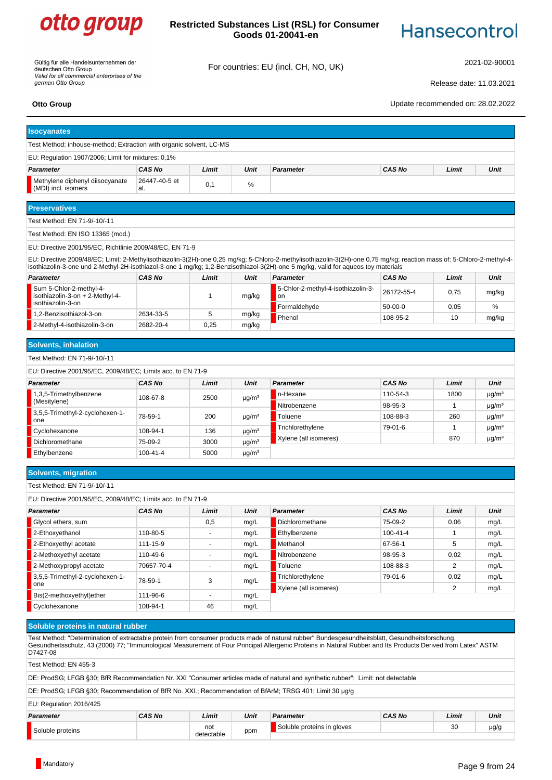| otto group |  |
|------------|--|
|            |  |

Gültig für alle Handelsunternehmen der<br>deutschen Otto Group<br>Valid for all commercial enterprises of the<br>german Otto Group

**Restricted Substances List (RSL) for Consumer Goods 01-20041-en**

### Hansecontrol

2021-02-90001 For countries: EU (incl. CH, NO, UK)

Release date: 11.03.2021

Update recommended on: 28.02.2022

| <b>Isocyanates</b>                                                                                     |                      |                   |                        |                                                                                                                                                                                                                                                                                                                  |                     |          |                                                  |
|--------------------------------------------------------------------------------------------------------|----------------------|-------------------|------------------------|------------------------------------------------------------------------------------------------------------------------------------------------------------------------------------------------------------------------------------------------------------------------------------------------------------------|---------------------|----------|--------------------------------------------------|
| Test Method: inhouse-method; Extraction with organic solvent, LC-MS                                    |                      |                   |                        |                                                                                                                                                                                                                                                                                                                  |                     |          |                                                  |
| EU: Regulation 1907/2006; Limit for mixtures: 0,1%                                                     |                      |                   |                        |                                                                                                                                                                                                                                                                                                                  |                     |          |                                                  |
| <b>Parameter</b>                                                                                       | <b>CAS No</b>        | Limit             | Unit                   | <b>Parameter</b>                                                                                                                                                                                                                                                                                                 | <b>CAS No</b>       | Limit    | Unit                                             |
| Methylene diphenyl diisocyanate<br>(MDI) incl. isomers                                                 | 26447-40-5 et<br>al. | 0,1               | ℅                      |                                                                                                                                                                                                                                                                                                                  |                     |          |                                                  |
| <b>Preservatives</b>                                                                                   |                      |                   |                        |                                                                                                                                                                                                                                                                                                                  |                     |          |                                                  |
|                                                                                                        |                      |                   |                        |                                                                                                                                                                                                                                                                                                                  |                     |          |                                                  |
| Test Method: EN 71-9/-10/-11                                                                           |                      |                   |                        |                                                                                                                                                                                                                                                                                                                  |                     |          |                                                  |
| Test Method: EN ISO 13365 (mod.)                                                                       |                      |                   |                        |                                                                                                                                                                                                                                                                                                                  |                     |          |                                                  |
| EU: Directive 2001/95/EC, Richtlinie 2009/48/EC, EN 71-9                                               |                      |                   |                        |                                                                                                                                                                                                                                                                                                                  |                     |          |                                                  |
|                                                                                                        |                      |                   |                        | EU: Directive 2009/48/EC; Limit: 2-Methylisothiazolin-3(2H)-one 0,25 mg/kg; 5-Chloro-2-methylisothiazolin-3(2H)-one 0,75 mg/kg; reaction mass of: 5-Chloro-2-methyl-4-<br>isothiazolin-3-one und 2-Methyl-2H-isothiazol-3-one 1 mg/kg; 1,2-Benzisothiazol-3(2H)-one 5 mg/kg, valid for aqueos toy materials      |                     |          |                                                  |
| <b>Parameter</b>                                                                                       | <b>CAS No</b>        | Limit             | Unit                   | <b>Parameter</b>                                                                                                                                                                                                                                                                                                 | CAS No              | Limit    | Unit                                             |
| Sum 5-Chlor-2-methyl-4-<br>isothiazolin-3-on + 2-Methyl-4-<br>isothiazolin-3-on                        |                      | 1                 | mg/kg                  | 5-Chlor-2-methyl-4-isothiazolin-3-<br>on                                                                                                                                                                                                                                                                         | 26172-55-4          | 0,75     | mg/kg                                            |
| 1,2-Benzisothiazol-3-on                                                                                | 2634-33-5            | 5                 | mg/kg                  | Formaldehyde                                                                                                                                                                                                                                                                                                     | $50-00-0$           | 0,05     | %                                                |
| 2-Methyl-4-isothiazolin-3-on                                                                           | 2682-20-4            | 0,25              | mg/kg                  | Phenol                                                                                                                                                                                                                                                                                                           | 108-95-2            | 10       | mg/kg                                            |
|                                                                                                        |                      |                   |                        |                                                                                                                                                                                                                                                                                                                  |                     |          |                                                  |
| <b>Solvents, inhalation</b>                                                                            |                      |                   |                        |                                                                                                                                                                                                                                                                                                                  |                     |          |                                                  |
| Test Method: EN 71-9/-10/-11                                                                           |                      |                   |                        |                                                                                                                                                                                                                                                                                                                  |                     |          |                                                  |
| EU: Directive 2001/95/EC, 2009/48/EC; Limits acc. to EN 71-9                                           |                      |                   |                        |                                                                                                                                                                                                                                                                                                                  |                     |          |                                                  |
| <b>Parameter</b>                                                                                       | <b>CAS No</b>        | Limit             | Unit                   | <b>Parameter</b>                                                                                                                                                                                                                                                                                                 | CAS No              | Limit    | Unit                                             |
| 1,3,5-Trimethylbenzene<br>(Mesitylene)                                                                 | 108-67-8             | 2500              | $\mu$ g/m <sup>3</sup> | n-Hexane                                                                                                                                                                                                                                                                                                         | 110-54-3            | 1800     | $\mu$ g/m <sup>3</sup>                           |
| 3,5,5-Trimethyl-2-cyclohexen-1-                                                                        | 78-59-1              | 200               | $\mu$ g/m <sup>3</sup> | Nitrobenzene<br>Toluene                                                                                                                                                                                                                                                                                          | 98-95-3<br>108-88-3 | 1<br>260 | $\mu$ g/m <sup>3</sup><br>$\mu$ g/m <sup>3</sup> |
| one                                                                                                    |                      |                   |                        | Trichlorethylene                                                                                                                                                                                                                                                                                                 | 79-01-6             | 1        | $\mu$ g/m <sup>3</sup>                           |
| Cyclohexanone                                                                                          | 108-94-1             | 136               | $\mu$ g/m <sup>3</sup> | Xylene (all isomeres)                                                                                                                                                                                                                                                                                            |                     | 870      | $\mu$ g/m <sup>3</sup>                           |
| Dichloromethane                                                                                        | 75-09-2              | 3000              | $\mu$ g/m <sup>3</sup> |                                                                                                                                                                                                                                                                                                                  |                     |          |                                                  |
| Ethylbenzene                                                                                           | 100-41-4             | 5000              | $\mu$ g/m <sup>3</sup> |                                                                                                                                                                                                                                                                                                                  |                     |          |                                                  |
| <b>Solvents, migration</b>                                                                             |                      |                   |                        |                                                                                                                                                                                                                                                                                                                  |                     |          |                                                  |
| Test Method: EN 71-9/-10/-11                                                                           |                      |                   |                        |                                                                                                                                                                                                                                                                                                                  |                     |          |                                                  |
| EU: Directive 2001/95/EC, 2009/48/EC; Limits acc. to EN 71-9                                           |                      |                   |                        |                                                                                                                                                                                                                                                                                                                  |                     |          |                                                  |
| <b>Parameter</b>                                                                                       | <b>CAS No</b>        | Limit             | Unit                   | <b>Parameter</b>                                                                                                                                                                                                                                                                                                 | <b>CAS No</b>       | Limit    | Unit                                             |
| Glycol ethers, sum                                                                                     |                      | 0,5               | mg/L                   | Dichloromethane                                                                                                                                                                                                                                                                                                  | 75-09-2             | 0,06     | mg/L                                             |
| 2-Ethoxyethanol                                                                                        | 110-80-5             |                   | mg/L                   | Ethylbenzene                                                                                                                                                                                                                                                                                                     | 100-41-4            | 1        | mg/L                                             |
| 2-Ethoxyethyl acetate                                                                                  | 111-15-9             |                   | mg/L                   | Methanol                                                                                                                                                                                                                                                                                                         | 67-56-1             | 5        | mg/L                                             |
| $\blacksquare$ 2-Methoxyethyl acetate                                                                  | 110-49-6             |                   | mg/L                   | Nitrobenzene                                                                                                                                                                                                                                                                                                     | 98-95-3             | 0,02     | mg/L                                             |
| 2-Methoxypropyl acetate                                                                                | 70657-70-4           |                   | mg/L                   | Toluene                                                                                                                                                                                                                                                                                                          | 108-88-3            | 2        | mg/L                                             |
| 3,5,5-Trimethyl-2-cyclohexen-1-                                                                        | 78-59-1              | 3                 |                        | Trichlorethylene                                                                                                                                                                                                                                                                                                 | 79-01-6             | 0,02     | mg/L                                             |
| one                                                                                                    |                      |                   | mg/L                   | Xylene (all isomeres)                                                                                                                                                                                                                                                                                            |                     | 2        | mg/L                                             |
| Bis(2-methoxyethyl) ether                                                                              | 111-96-6             |                   | mg/L                   |                                                                                                                                                                                                                                                                                                                  |                     |          |                                                  |
| Cyclohexanone                                                                                          | 108-94-1             | 46                | mg/L                   |                                                                                                                                                                                                                                                                                                                  |                     |          |                                                  |
| Soluble proteins in natural rubber                                                                     |                      |                   |                        |                                                                                                                                                                                                                                                                                                                  |                     |          |                                                  |
| D7427-08                                                                                               |                      |                   |                        | Test Method: "Determination of extractable protein from consumer products made of natural rubber" Bundesgesundheitsblatt, Gesundheitsforschung,<br>Gesundheitsschutz, 43 (2000) 77; "Immunological Measurement of Four Principal Allergenic Proteins in Natural Rubber and Its Products Derived from Latex" ASTM |                     |          |                                                  |
| Test Method: EN 455-3                                                                                  |                      |                   |                        |                                                                                                                                                                                                                                                                                                                  |                     |          |                                                  |
|                                                                                                        |                      |                   |                        | DE: ProdSG; LFGB §30; BfR Recommendation Nr. XXI "Consumer articles made of natural and synthetic rubber"; Limit: not detectable                                                                                                                                                                                 |                     |          |                                                  |
| DE: ProdSG; LFGB §30; Recommendation of BfR No. XXI.; Recommendation of BfArM; TRSG 401; Limit 30 µg/g |                      |                   |                        |                                                                                                                                                                                                                                                                                                                  |                     |          |                                                  |
| EU: Regulation 2016/425                                                                                |                      |                   |                        |                                                                                                                                                                                                                                                                                                                  |                     |          |                                                  |
| <b>Parameter</b>                                                                                       | CAS No               | Limit             | Unit                   | <b>Parameter</b>                                                                                                                                                                                                                                                                                                 | CAS No              | Limit    | Unit                                             |
| Soluble proteins                                                                                       |                      | not<br>detectable | ppm                    | Soluble proteins in gloves                                                                                                                                                                                                                                                                                       |                     | 30       | $\mu$ g/g                                        |
|                                                                                                        |                      |                   |                        |                                                                                                                                                                                                                                                                                                                  |                     |          |                                                  |

#### **Otto Group**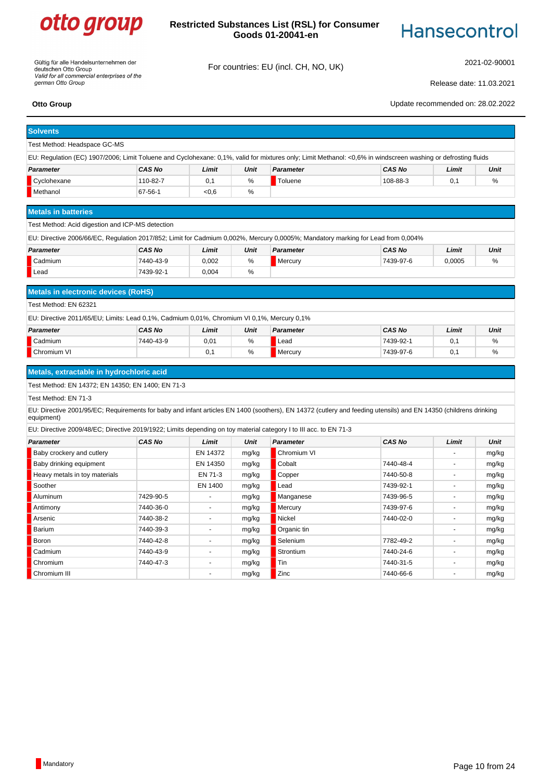

Valid for all commercial enterprises of the

**Restricted Substances List (RSL) for Consumer Goods 01-20041-en**

### Hansecontrol

2021-02-90001 For countries: EU (incl. CH, NO, UK)

Release date: 11.03.2021

Update recommended on: 28.02.2022

#### **Solvents** Test Method: Headspace GC-MS EU: Regulation (EC) 1907/2006; Limit Toluene and Cyclohexane: 0,1%, valid for mixtures only; Limit Methanol: <0,6% in windscreen washing or defrosting fluids **Parameter CAS No Limit Unit Parameter CAS No Limit Unit Cyclohexane** 110-82-7 0,1 % Methanol 67-56-1 <0,6 % Toluene 108-88-3 0,1 % **Metals in batteries** Test Method: Acid digestion and ICP-MS detection EU: Directive 2006/66/EC, Regulation 2017/852; Limit for Cadmium 0,002%, Mercury 0,0005%; Mandatory marking for Lead from 0,004% **Parameter CAS No Limit Unit Parameter CAS No Limit Unit Cadmium** 7440-43-9 0,002 % Lead 7439-92-1 0,004 % **Mercury 7439-97-6** 0,0005 % **Metals in electronic devices (RoHS)** Test Method: EN 62321 EU: Directive 2011/65/EU; Limits: Lead 0,1%, Cadmium 0,01%, Chromium VI 0,1%, Mercury 0,1% **Parameter CAS No Limit Unit Parameter CAS No Limit Unit Cadmium 7440-43-9** 0.01 % Chromium VI 0,1 % **Lead 2018 12439-92-1** 0.1 % **Mercury 7439-97-6** 0,1 % **Metals, extractable in hydrochloric acid** Test Method: EN 14372; EN 14350; EN 1400; EN 71-3 Test Method: EN 71-3 EU: Directive 2001/95/EC; Requirements for baby and infant articles EN 1400 (soothers), EN 14372 (cutlery and feeding utensils) and EN 14350 (childrens drinking equipment) EU: Directive 2009/48/EC; Directive 2019/1922; Limits depending on toy material category I to III acc. to EN 71-3 **Parameter CAS No Limit Unit Parameter CAS No Limit Unit** Baby crockery and cutlery **EN 14372** mg/kg Baby drinking equipment **EN 14350** mg/kg Heavy metals in toy materials **EN 71-3** mg/kg Soother **EN 1400** mg/kg Aluminum 7429-90-5 - mg/kg **Antimony** 7440-36-0 - mg/kg Arsenic 7440-38-2 - mg/kg Barium 7440-39-3 - mg/kg Boron 7440-42-8 - mg/kg Cadmium 7440-43-9 - mg/kg Chromium 7440-47-3 - mg/kg **Chromium III** - mg/kg Chromium VI **Chromium VI** - mg/kg **Cobalt** 7440-48-4 - mg/kg Copper 7440-50-8 - mg/kg Lead 7439-92-1 | - mg/kg Manganese 7439-96-5 - mg/kg **Mercury 7439-97-6 7439-97-6 1988** Nickel 7440-02-0 - mg/kg Organic tin and the set of the set of the set of the set of the set of the set of the set of the set of the set of the set of the set of the set of the set of the set of the set of the set of the set of the set of the set Selenium 7782-49-2 - mg/kg Strontium 7440-24-6 - mg/kg Tin 7440-31-5 - mg/kg **Zinc** 7440-66-6 - mg/kg

deutschen Otto Group

german Otto Group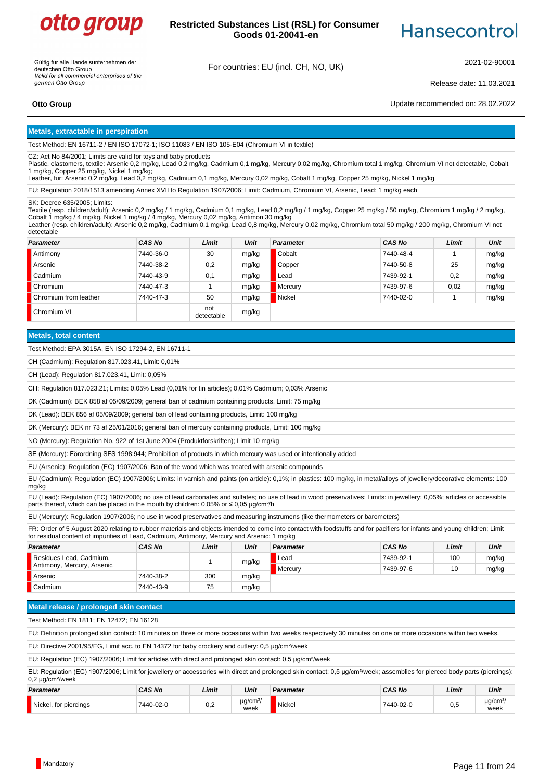

### Hansecontrol

Gültig für alle Handelsunternehmen der deutschen Otto Group Valid for all commercial enterprises of the german Otto Group

#### 2021-02-90001 For countries: EU (incl. CH, NO, UK)

Release date: 11.03.2021

Update recommended on: 28.02.2022

#### **Otto Group**

#### **Metals, extractable in perspiration**

Test Method: EN 16711-2 / EN ISO 17072-1; ISO 11083 / EN ISO 105-E04 (Chromium VI in textile)

CZ: Act No 84/2001; Limits are valid for toys and baby products<br>Plastic, elastomers, textile: Arsenic 0,2 mg/kg, Lead 0,2 mg/kg, Cadmium 0,1 mg/kg, Mercury 0,02 mg/kg, Chromium total 1 mg/kg, Chromium VI not detectable, Co 1 mg/kg, Copper 25 mg/kg, Nickel 1 mg/kg;

Leather, fur: Arsenic 0,2 mg/kg, Lead 0,2 mg/kg, Cadmium 0,1 mg/kg, Mercury 0,02 mg/kg, Cobalt 1 mg/kg, Copper 25 mg/kg, Nickel 1 mg/kg

EU: Regulation 2018/1513 amending Annex XVII to Regulation 1907/2006; Limit: Cadmium, Chromium VI, Arsenic, Lead: 1 mg/kg each

SK: Decree 635/2005; Limits:

Textile (resp. children/adult): Arsenic 0,2 mg/kg / 1 mg/kg, Cadmium 0,1 mg/kg, Lead 0,2 mg/kg / 1 mg/kg, Copper 25 mg/kg / 50 mg/kg, Chromium 1 mg/kg / 2 mg/kg, Cobalt 1 mg/kg / 4 mg/kg, Nickel 1 mg/kg / 4 mg/kg, Mercury 0,02 mg/kg, Antimon 30 mg/kg<br>Leather (resp. children/adult): Arsenic 0,2 mg/kg, Cadmium 0,1 mg/kg, Lead 0,8 mg/kg, Mercury 0,02 mg/kg, Chromium total 50 mg/kg / 2 detectable

| <b>Parameter</b>      | <b>CAS No</b> | Limit             | Unit  | Parameter | CAS No    | Limit | Unit  |
|-----------------------|---------------|-------------------|-------|-----------|-----------|-------|-------|
| Antimony              | 7440-36-0     | 30                | mg/kg | Cobalt    | 7440-48-4 |       | mg/kg |
| Arsenic               | 7440-38-2     | 0,2               | mg/kg | Copper    | 7440-50-8 | 25    | mg/kg |
| Cadmium               | 7440-43-9     | 0,1               | mg/kg | Lead      | 7439-92-1 | 0,2   | mg/kg |
| <b>Chromium</b>       | 7440-47-3     |                   | mg/kg | Mercury   | 7439-97-6 | 0,02  | mg/kg |
| Chromium from leather | 7440-47-3     | 50                | mg/kg | Nickel    | 7440-02-0 |       | mg/kg |
| Chromium VI           |               | not<br>detectable | mg/kg |           |           |       |       |

#### **Metals, total content**

Test Method: EPA 3015A, EN ISO 17294-2, EN 16711-1

CH (Cadmium): Regulation 817.023.41, Limit: 0,01%

CH (Lead): Regulation 817.023.41, Limit: 0,05%

CH: Regulation 817.023.21; Limits: 0,05% Lead (0,01% for tin articles); 0,01% Cadmium; 0,03% Arsenic

DK (Cadmium): BEK 858 af 05/09/2009; general ban of cadmium containing products, Limit: 75 mg/kg

DK (Lead): BEK 856 af 05/09/2009; general ban of lead containing products, Limit: 100 mg/kg

DK (Mercury): BEK nr 73 af 25/01/2016; general ban of mercury containing products, Limit: 100 mg/kg

NO (Mercury): Regulation No. 922 of 1st June 2004 (Produktforskriften); Limit 10 mg/kg

SE (Mercury): Förordning SFS 1998:944; Prohibition of products in which mercury was used or intentionally added

EU (Arsenic): Regulation (EC) 1907/2006; Ban of the wood which was treated with arsenic compounds

EU (Cadmium): Regulation (EC) 1907/2006; Limits: in varnish and paints (on article): 0,1%; in plastics: 100 mg/kg, in metal/alloys of jewellery/decorative elements: 100 mg/kg

EU (Lead): Regulation (EC) 1907/2006; no use of lead carbonates and sulfates; no use of lead in wood preservatives; Limits: in jewellery: 0,05%; articles or accessible parts thereof, which can be placed in the mouth by children: 0,05% or  $\leq 0.05$  ug/cm<sup>2</sup>/h

EU (Mercury): Regulation 1907/2006; no use in wood preservatives and measuring instrumens (like thermometers or barometers)

FR: Order of 5 August 2020 relating to rubber materials and objects intended to come into contact with foodstuffs and for pacifiers for infants and young children; Limit for residual content of impurities of Lead, Cadmium, Antimony, Mercury and Arsenic: 1 mg/kg

| <b>Parameter</b>           | <b>CAS No</b> | Limit | Unit  | <b>Parameter</b> | <b>CAS No</b> | Limit | Unit  |
|----------------------------|---------------|-------|-------|------------------|---------------|-------|-------|
| Residues Lead, Cadmium,    |               |       | mg/kg | Lead             | 7439-92-1     | 100   | mg/kg |
| Antimony, Mercury, Arsenic |               |       |       | <b>Mercury</b>   | 7439-97-6     | 10    | mg/kg |
| Arsenic                    | 7440-38-2     | 300   | mg/kg |                  |               |       |       |
| Cadmium                    | 7440-43-9     | 75    | mg/kg |                  |               |       |       |

#### **Metal release / prolonged skin contact**

Test Method: EN 1811; EN 12472; EN 16128

EU: Definition prolonged skin contact: 10 minutes on three or more occasions within two weeks respectively 30 minutes on one or more occasions within two weeks.

EU: Directive 2001/95/EG, Limit acc. to EN 14372 for baby crockery and cutlery: 0,5 μg/cm²/week

EU: Regulation (EC) 1907/2006; Limit for articles with direct and prolonged skin contact: 0,5 µg/cm²/week

EU: Regulation (EC) 1907/2006; Limit for jewellery or accessories with direct and prolonged skin contact: 0,5 µg/cm<sup>2</sup>/week; assemblies for pierced body parts (piercings): 0,2 µg/cm²/week

| <b>Parameter</b>           | <b>CAS No</b> | Limit    | Unit                            | <b>Parameter</b>    | <b>CAS No</b> | Limit | Unit                            |
|----------------------------|---------------|----------|---------------------------------|---------------------|---------------|-------|---------------------------------|
| Nickel.<br>. for piercinas | 7440-02-0     | ົ<br>v.z | $\mu$ a/cm <sup>2</sup><br>week | Nickel <sup>1</sup> | 7440-02-0     | U.Ə   | $\mu$ g/cm <sup>2</sup><br>week |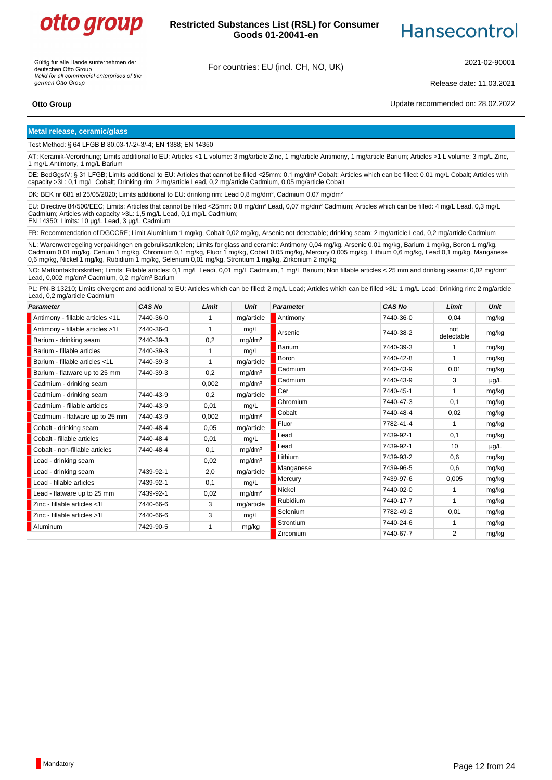

### Hansecontrol

Gültig für alle Handelsunternehmen der deutschen Otto Group Valid for all commercial enterprises of the german Otto Group

2021-02-90001 For countries: EU (incl. CH, NO, UK)

Release date: 11.03.2021

Update recommended on: 28.02.2022

**Otto Group**

#### **Metal release, ceramic/glass**

Test Method: § 64 LFGB B 80.03-1/-2/-3/-4; EN 1388; EN 14350

AT: Keramik-Verordnung; Limits additional to EU: Articles <1 L volume: 3 mg/article Zinc, 1 mg/article Antimony, 1 mg/article Barium; Articles >1 L volume: 3 mg/L Zinc, 1 mg/L Antimony, 1 mg/L Barium

DE: BedGgstV; § 31 LFGB; Limits additional to EU: Articles that cannot be filled <25mm: 0,1 mg/dm<sup>2</sup> Cobalt; Articles which can be filled: 0,01 mg/L Cobalt; Articles with capacity >3L: 0,1 mg/L Cobalt; Drinking rim: 2 mg/article Lead, 0,2 mg/article Cadmium, 0,05 mg/article Cobalt

DK: BEK nr 681 af 25/05/2020; Limits additional to EU: drinking rim: Lead 0,8 mg/dm<sup>2</sup>, Cadmium 0,07 mg/dm<sup>2</sup>

EU: Directive 84/500/EEC; Limits: Articles that cannot be filled <25mm: 0,8 mg/dm² Lead, 0,07 mg/dm² Cadmium; Articles which can be filled: 4 mg/L Lead, 0,3 mg/L Cadmium; Articles with capacity >3L: 1,5 mg/L Lead, 0,1 mg/L Cadmium; EN 14350; Limits: 10 µg/L Lead, 3 µg/L Cadmium

FR: Recommendation of DGCCRF; Limit Aluminium 1 mg/kg, Cobalt 0,02 mg/kg, Arsenic not detectable; drinking seam: 2 mg/article Lead, 0,2 mg/article Cadmium

NL: Warenwetregeling verpakkingen en gebruiksartikelen; Limits for glass and ceramic: Antimony 0,04 mg/kg, Arsenic 0,01 mg/kg, Barium 1 mg/kg, Boron 1 mg/kg,<br>Cadmium 0,01 mg/kg, Cerium 1 mg/kg, Chromium 0,1 mg/kg, Fluor 1 0,6 mg/kg, Nickel 1 mg/kg, Rubidium 1 mg/kg, Selenium 0,01 mg/kg, Strontium 1 mg/kg, Zirkonium 2 mg/kg

NO: Matkontaktforskriften; Limits: Fillable articles: 0,1 mg/L Leadi, 0,01 mg/L Cadmium, 1 mg/L Barium; Non fillable articles < 25 mm and drinking seams: 0,02 mg/dm<sup>2</sup> Lead, 0,002 mg/dm² Cadmium, 0,2 mg/dm² Barium

PL: PN-B 13210; Limits divergent and additional to EU: Articles which can be filled: 2 mg/L Lead; Articles which can be filled >3L: 1 mg/L Lead; Drinking rim: 2 mg/article Lead, 0,2 mg/article Cadmium

| <b>Parameter</b>                 | CAS No    | Limit | Unit               | <b>Parameter</b> | <b>CAS No</b> | Limit      | Unit      |
|----------------------------------|-----------|-------|--------------------|------------------|---------------|------------|-----------|
| Antimony - fillable articles <1L | 7440-36-0 |       | mg/article         | Antimony         | 7440-36-0     | 0,04       | mg/kg     |
| Antimony - fillable articles >1L | 7440-36-0 | 1     | mg/L               | Arsenic          | 7440-38-2     | not        | mg/kg     |
| Barium - drinking seam           | 7440-39-3 | 0,2   | mg/dm <sup>2</sup> |                  |               | detectable |           |
| Barium - fillable articles       | 7440-39-3 | 1     | mg/L               | Barium           | 7440-39-3     |            | mg/kg     |
| Barium - fillable articles <1L   | 7440-39-3 | 1     | mg/article         | Boron            | 7440-42-8     |            | mg/kg     |
| Barium - flatware up to 25 mm    | 7440-39-3 | 0,2   | mg/dm <sup>2</sup> | Cadmium          | 7440-43-9     | 0,01       | mg/kg     |
| Cadmium - drinking seam          |           | 0,002 | mg/dm <sup>2</sup> | Cadmium          | 7440-43-9     | 3          | $\mu$ g/L |
| Cadmium - drinking seam          | 7440-43-9 | 0,2   | mg/article         | Cer              | 7440-45-1     | 1          | mg/kg     |
| Cadmium - fillable articles      | 7440-43-9 | 0,01  | mg/L               | Chromium         | 7440-47-3     | 0,1        | mg/kg     |
| Cadmium - flatware up to 25 mm   | 7440-43-9 | 0,002 | mg/dm <sup>2</sup> | Cobalt           | 7440-48-4     | 0,02       | mg/kg     |
| Cobalt - drinking seam           | 7440-48-4 | 0,05  | mg/article         | Fluor            | 7782-41-4     | 1          | mg/kg     |
| Cobalt - fillable articles       | 7440-48-4 | 0,01  | mg/L               | Lead             | 7439-92-1     | 0,1        | mg/kg     |
| Cobalt - non-fillable articles   | 7440-48-4 | 0,1   | mg/dm <sup>2</sup> | Lead             | 7439-92-1     | 10         | $\mu$ g/L |
| Lead - drinking seam             |           | 0,02  | mg/dm <sup>2</sup> | Lithium          | 7439-93-2     | 0,6        | mg/kg     |
| Lead - drinking seam             | 7439-92-1 | 2,0   | mg/article         | Manganese        | 7439-96-5     | 0,6        | mg/kg     |
| Lead - fillable articles         | 7439-92-1 | 0,1   | mg/L               | Mercury          | 7439-97-6     | 0,005      | mg/kg     |
| Lead - flatware up to 25 mm      | 7439-92-1 | 0,02  | mg/dm <sup>2</sup> | Nickel           | 7440-02-0     |            | mg/kg     |
| Zinc - fillable articles <1L     | 7440-66-6 | 3     | mg/article         | Rubidium         | 7440-17-7     | 1          | mg/kg     |
| Zinc - fillable articles >1L     | 7440-66-6 | 3     | mg/L               | Selenium         | 7782-49-2     | 0,01       | mg/kg     |
| Aluminum                         | 7429-90-5 |       | mg/kg              | Strontium        | 7440-24-6     | 1          | mg/kg     |
|                                  |           |       |                    | Zirconium        | 7440-67-7     | 2          | mg/kg     |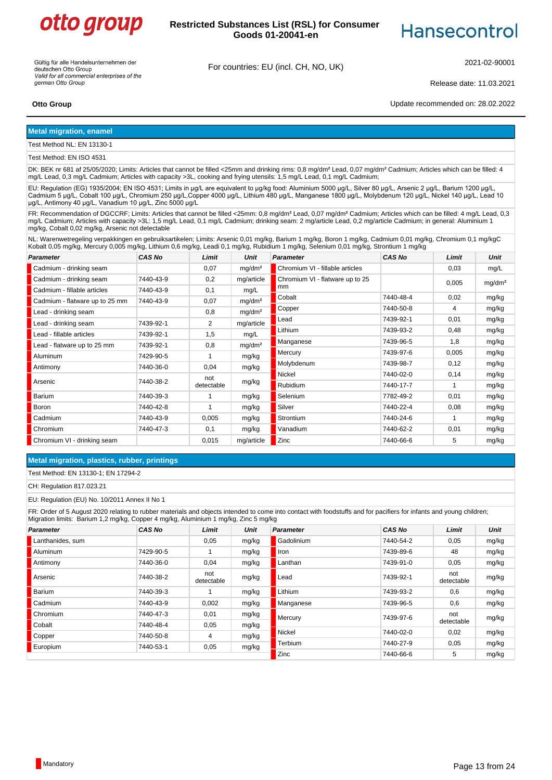

### **Hansecontrol**

Gültig für alle Handelsunternehmen der deutschen Otto Group Valid for all commercial enterprises of the german Otto Group

2021-02-90001 For countries: EU (incl. CH, NO, UK)

Release date: 11.03.2021

Update recommended on: 28.02.2022

**Otto Group**

#### **Metal migration, enamel**

Test Method NL: EN 13130-1

Test Method: EN ISO 4531

DK: BEK nr 681 af 25/05/2020; Limits: Articles that cannot be filled <25mm and drinking rims: 0,8 mg/dm² Lead, 0,07 mg/dm² Cadmium; Articles which can be filled: 4<br>mg/L Lead, 0,3 mg/L Cadmium; Articles with capacity >3L,

EU: Regulation (EG) 1935/2004; EN ISO 4531; Limits in µg/L are equivalent to µg/kg food: Aluminium 5000 µg/L, Silver 80 µg/L, Arsenic 2 µg/L, Barium 1200 µg/L Cadmium 5 µg/L, Cobalt 100 µg/L, Chromium 250 µg/L,Copper 4000 µg/L, Lithium 480 µg/L, Manganese 1800 µg/L, Molybdenum 120 µg/L, Nickel 140 µg/L, Lead 10 µg/L, Antimony 40 µg/L, Vanadium 10 µg/L, Zinc 5000 µg/L

FR: Recommendation of DGCCRF; Limits: Articles that cannot be filled <25mm: 0,8 mg/dm² Lead, 0,07 mg/dm² Cadmium; Articles which can be filled: 4 mg/L Lead, 0,3<br>mg/L Cadmium; Articles with capacity >3L: 1,5 mg/L Lead, 0,1 mg/kg, Cobalt 0,02 mg/kg, Arsenic not detectable

NL: Warenwetregeling verpakkingen en gebruiksartikelen; Limits: Arsenic 0,01 mg/kg, Barium 1 mg/kg, Boron 1 mg/kg, Cadmium 0,01 mg/kg, Chromium 0,1 mg/kgC<br>Kobalt 0,05 mg/kg, Mercury 0,005 mg/kg, Lithium 0,6 mg/kg, Leadi 0,

| <b>Parameter</b>               | CAS No    | Limit      | Unit               | <b>Parameter</b>                | <b>CAS No</b> | Limit | Unit               |
|--------------------------------|-----------|------------|--------------------|---------------------------------|---------------|-------|--------------------|
| Cadmium - drinking seam        |           | 0,07       | mg/dm <sup>2</sup> | Chromium VI - fillable articles |               | 0,03  | mg/L               |
| Cadmium - drinking seam        | 7440-43-9 | 0,2        | mg/article         | Chromium VI - flatware up to 25 |               | 0,005 | mg/dm <sup>2</sup> |
| Cadmium - fillable articles    | 7440-43-9 | 0,1        | mg/L               | mm                              |               |       |                    |
| Cadmium - flatware up to 25 mm | 7440-43-9 | 0,07       | mg/dm <sup>2</sup> | Cobalt                          | 7440-48-4     | 0,02  | mg/kg              |
| Lead - drinking seam           |           | 0,8        | mg/dm <sup>2</sup> | Copper                          | 7440-50-8     | 4     | mg/kg              |
| Lead - drinking seam           | 7439-92-1 | 2          | mg/article         | Lead                            | 7439-92-1     | 0,01  | mg/kg              |
| Lead - fillable articles       | 7439-92-1 | 1,5        | mg/L               | Lithium                         | 7439-93-2     | 0,48  | mg/kg              |
| Lead - flatware up to 25 mm    | 7439-92-1 | 0,8        | mg/dm <sup>2</sup> | Manganese                       | 7439-96-5     | 1,8   | mg/kg              |
| Aluminum                       | 7429-90-5 |            | mg/kg              | Mercury                         | 7439-97-6     | 0,005 | mg/kg              |
| Antimony                       | 7440-36-0 | 0,04       | mg/kg              | Molybdenum                      | 7439-98-7     | 0,12  | mg/kg              |
|                                |           | not        |                    | Nickel                          | 7440-02-0     | 0,14  | mg/kg              |
| Arsenic                        | 7440-38-2 | detectable | mg/kg              | Rubidium                        | 7440-17-7     |       | mg/kg              |
| Barium                         | 7440-39-3 |            | mg/kg              | Selenium                        | 7782-49-2     | 0,01  | mg/kg              |
| Boron                          | 7440-42-8 |            | mg/kg              | Silver                          | 7440-22-4     | 0,08  | mg/kg              |
| Cadmium                        | 7440-43-9 | 0,005      | mg/kg              | Strontium                       | 7440-24-6     |       | mg/kg              |
| Chromium                       | 7440-47-3 | 0,1        | mg/kg              | Vanadium                        | 7440-62-2     | 0,01  | mg/kg              |
| Chromium VI - drinking seam    |           | 0,015      | mg/article         | Zinc                            | 7440-66-6     | 5     | mg/kg              |

#### **Metal migration, plastics, rubber, printings**

Test Method: EN 13130-1; EN 17294-2

#### CH: Regulation 817.023.21

EU: Regulation (EU) No. 10/2011 Annex II No 1

FR: Order of 5 August 2020 relating to rubber materials and objects intended to come into contact with foodstuffs and for pacifiers for infants and young children; Migration limits: Barium 1,2 mg/kg, Copper 4 mg/kg, Aluminium 1 mg/kg, Zinc 5 mg/kg

| <b>Parameter</b> | <b>CAS No</b> | Limit             | Unit  | <b>Parameter</b> | <b>CAS No</b> | Limit             | <b>Unit</b> |
|------------------|---------------|-------------------|-------|------------------|---------------|-------------------|-------------|
| Lanthanides, sum |               | 0,05              | mg/kg | Gadolinium       | 7440-54-2     | 0,05              | mg/kg       |
| Aluminum         | 7429-90-5     |                   | mg/kg | Iron             | 7439-89-6     | 48                | mg/kg       |
| Antimony         | 7440-36-0     | 0,04              | mg/kg | Lanthan          | 7439-91-0     | 0,05              | mg/kg       |
| Arsenic          | 7440-38-2     | not<br>detectable | mg/kg | Lead             | 7439-92-1     | not<br>detectable | mg/kg       |
| Barium           | 7440-39-3     |                   | mg/kg | Lithium          | 7439-93-2     | 0,6               | mg/kg       |
| Cadmium          | 7440-43-9     | 0,002             | mg/kg | <b>Manganese</b> | 7439-96-5     | 0,6               | mg/kg       |
| Chromium         | 7440-47-3     | 0,01              | mg/kg | Mercury          | 7439-97-6     | not               | mg/kg       |
| <b>Cobalt</b>    | 7440-48-4     | 0,05              | mg/kg |                  |               | detectable        |             |
| Copper           | 7440-50-8     | 4                 | mg/kg | Nickel           | 7440-02-0     | 0,02              | mg/kg       |
| Europium         | 7440-53-1     | 0,05              | mg/kg | Terbium          | 7440-27-9     | 0,05              | mg/kg       |
|                  |               |                   |       | Zinc             | 7440-66-6     | 5                 | mg/kg       |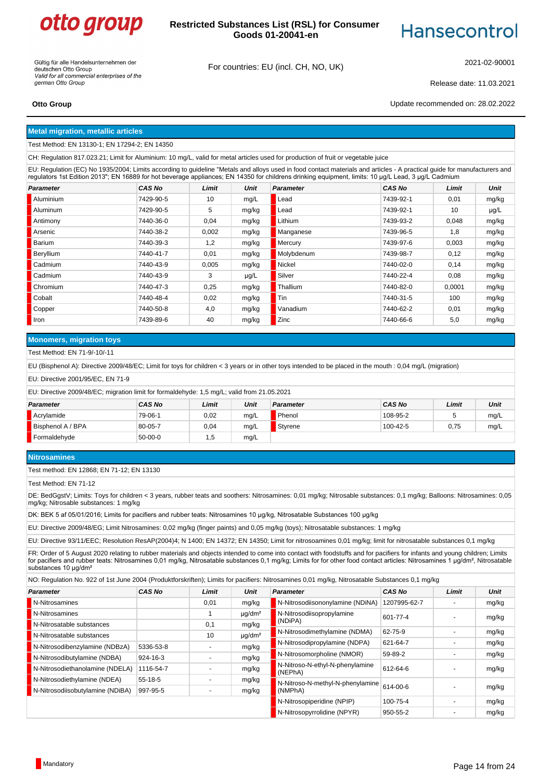

### Hansecontrol

2021-02-90001 For countries: EU (incl. CH, NO, UK)

Release date: 11.03.2021

Update recommended on: 28.02.2022

Valid for all commercial enterprises of the german Otto Group

Gültig für alle Handelsunternehmen der

#### **Otto Group**

deutschen Otto Group

#### **Metal migration, metallic articles**

#### Test Method: EN 13130-1; EN 17294-2; EN 14350

CH: Regulation 817.023.21; Limit for Aluminium: 10 mg/L, valid for metal articles used for production of fruit or vegetable juice

| EU: Regulation (EC) No 1935/2004; Limits according to quideline "Metals and alloys used in food contact materials and articles - A practical quide for manufacturers and<br>requlators 1st Edition 2013"; EN 16889 for hot beverage appliances; EN 14350 for childrens drinking equipment, limits: 10 µg/L Lead, 3 µg/L Cadmium |           |       |           |                  |               |        |           |
|---------------------------------------------------------------------------------------------------------------------------------------------------------------------------------------------------------------------------------------------------------------------------------------------------------------------------------|-----------|-------|-----------|------------------|---------------|--------|-----------|
| <b>Parameter</b>                                                                                                                                                                                                                                                                                                                | CAS No    | Limit | Unit      | <b>Parameter</b> | <b>CAS No</b> | Limit  | Unit      |
| Aluminium                                                                                                                                                                                                                                                                                                                       | 7429-90-5 | 10    | mg/L      | Lead             | 7439-92-1     | 0,01   | mg/kg     |
| Aluminum                                                                                                                                                                                                                                                                                                                        | 7429-90-5 | 5     | mg/kg     | Lead             | 7439-92-1     | 10     | $\mu$ g/L |
| Antimony                                                                                                                                                                                                                                                                                                                        | 7440-36-0 | 0,04  | mg/kg     | Lithium          | 7439-93-2     | 0,048  | mg/kg     |
| Arsenic                                                                                                                                                                                                                                                                                                                         | 7440-38-2 | 0,002 | mg/kg     | Manganese        | 7439-96-5     | 1,8    | mg/kg     |
| Barium                                                                                                                                                                                                                                                                                                                          | 7440-39-3 | 1,2   | mg/kg     | Mercury          | 7439-97-6     | 0,003  | mg/kg     |
| Beryllium                                                                                                                                                                                                                                                                                                                       | 7440-41-7 | 0,01  | mg/kg     | Molybdenum       | 7439-98-7     | 0,12   | mg/kg     |
| Cadmium                                                                                                                                                                                                                                                                                                                         | 7440-43-9 | 0,005 | mg/kg     | Nickel           | 7440-02-0     | 0,14   | mg/kg     |
| Cadmium                                                                                                                                                                                                                                                                                                                         | 7440-43-9 | 3     | $\mu$ g/L | Silver           | 7440-22-4     | 0,08   | mg/kg     |
| Chromium                                                                                                                                                                                                                                                                                                                        | 7440-47-3 | 0,25  | mg/kg     | Thallium         | 7440-82-0     | 0,0001 | mg/kg     |
| Cobalt                                                                                                                                                                                                                                                                                                                          | 7440-48-4 | 0,02  | mg/kg     | Tin              | 7440-31-5     | 100    | mg/kg     |
| Copper                                                                                                                                                                                                                                                                                                                          | 7440-50-8 | 4,0   | mg/kg     | Vanadium         | 7440-62-2     | 0,01   | mg/kg     |
| <b>I</b> ron                                                                                                                                                                                                                                                                                                                    | 7439-89-6 | 40    | mg/kg     | Zinc             | 7440-66-6     | 5,0    | mg/kg     |

#### **Monomers, migration toys**

Test Method: EN 71-9/-10/-11

EU (Bisphenol A): Directive 2009/48/EC; Limit for toys for children < 3 years or in other toys intended to be placed in the mouth : 0,04 mg/L (migration)

#### EU: Directive 2001/95/EC, EN 71-9

EU: Directive 2009/48/EC; migration limit for formaldehyde: 1,5 mg/L; valid from 21.05.2021

| <b>Parameter</b>  | <b>CAS No</b> | Limit | Unit | <b>Parameter</b> | <b>CAS No</b> | Limit | Unit |
|-------------------|---------------|-------|------|------------------|---------------|-------|------|
| Acrylamide        | 79-06-1       | 0,02  | mg/L | Phenol           | 108-95-2      |       | mg/L |
| Bisphenol A / BPA | 80-05-7       | 0,04  | mg/L | Styrene          | 100-42-5      | 0.75  | mg/L |
| Formaldehyde      | $50-00-0$     | ٠     | mq/L |                  |               |       |      |

#### **Nitrosamines**

Test method: EN 12868; EN 71-12; EN 13130

Test Method: EN 71-12

DE: BedGgstV; Limits: Toys for children < 3 years, rubber teats and soothers: Nitrosamines: 0,01 mg/kg; Nitrosable substances: 0,1 mg/kg; Balloons: Nitrosamines: 0,05 mg/kg; Nitrosable substances: 1 mg/kg

DK: BEK 5 af 05/01/2016; Limits for pacifiers and rubber teats: Nitrosamines 10 µg/kg, Nitrosatable Substances 100 µg/kg

EU: Directive 2009/48/EG; Limit Nitrosamines: 0,02 mg/kg (finger paints) and 0,05 mg/kg (toys); Nitrosatable substances: 1 mg/kg

EU: Directive 93/11/EEC; Resolution ResAP(2004)4; N 1400; EN 14372; EN 14350; Limit for nitrosoamines 0,01 mg/kg; limit for nitrosatable substances 0,1 mg/kg

FR: Order of 5 August 2020 relating to rubber materials and objects intended to come into contact with foodstuffs and for pacifiers for infants and young children; Limits for pacifiers and rubber teats: Nitrosamines 0,01 mg/kg, Nitrosatable substances 0,1 mg/kg; Limits for for other food contact articles: Nitrosamines 1 µg/dm2, Nitrosatable substances 10 µg/dm<sup>2</sup>

NO: Regulation No. 922 of 1st June 2004 (Produktforskriften); Limits for pacifiers: Nitrosamines 0,01 mg/kg, Nitrosatable Substances 0,1 mg/kg

| <b>Parameter</b>                 | <b>CAS No</b> | Limit | <b>Unit</b>             | <b>Parameter</b>                           | <b>CAS No</b> | Limit | Unit  |
|----------------------------------|---------------|-------|-------------------------|--------------------------------------------|---------------|-------|-------|
| N-Nitrosamines                   |               | 0,01  | mg/kg                   | N-Nitrosodiisononylamine (NDiNA)           | 1207995-62-7  |       | mg/kg |
| N-Nitrosamines                   |               |       | $\mu$ g/dm <sup>2</sup> | N-Nitrosodiisopropylamine                  | 601-77-4      |       | mg/kg |
| N-Nitrosatable substances        |               | 0,1   | mg/kg                   | (NDiPA)                                    |               |       |       |
| N-Nitrosatable substances        |               | 10    | $\mu$ g/dm <sup>2</sup> | N-Nitrosodimethylamine (NDMA)              | 62-75-9       |       | mg/kg |
|                                  |               |       |                         | N-Nitrosodipropylamine (NDPA)              | 621-64-7      |       | mg/kg |
| N-Nitrosodibenzylamine (NDBzA)   | 5336-53-8     |       | mg/kg                   | N-Nitrosomorpholine (NMOR)                 | 59-89-2       |       |       |
| N-Nitrosodibutylamine (NDBA)     | 924-16-3      |       | mg/kg                   |                                            |               |       | mg/kg |
| N-Nitrosodiethanolamine (NDELA)  | 1116-54-7     |       | mg/kg                   | N-Nitroso-N-ethyl-N-phenylamine<br>(NEPhA) | 612-64-6      |       | mg/kg |
| N-Nitrosodiethylamine (NDEA)     | $55-18-5$     |       | mg/kg                   | N-Nitroso-N-methyl-N-phenylamine           |               |       |       |
| N-Nitrosodiisobutylamine (NDiBA) | 997-95-5      |       | mg/kg                   | (NMPhA)                                    | 614-00-6      |       | mg/kg |
|                                  |               |       |                         | N-Nitrosopiperidine (NPIP)                 | 100-75-4      |       | mg/kg |
|                                  |               |       |                         | N-Nitrosopyrrolidine (NPYR)                | 950-55-2      |       | mg/kg |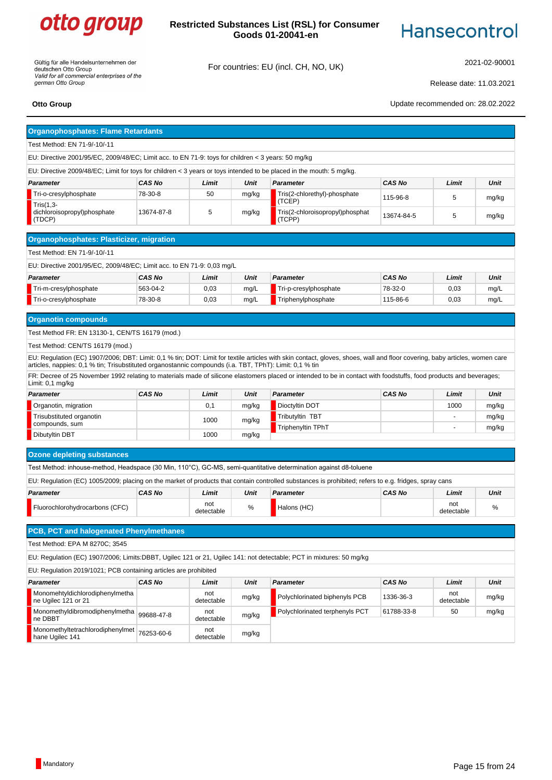

Gültig für alle Handelsunternehmen der deutschen Otto Group<br>Valid for all commercial enterprises of the **Restricted Substances List (RSL) for Consumer Goods 01-20041-en**

### Hansecontrol

2021-02-90001 For countries: EU (incl. CH, NO, UK)

Release date: 11.03.2021

Update recommended on: 28.02.2022

#### **Otto Group**

german Otto Group

| <b>Organophosphates: Flame Retardants</b>                                                                            |            |       |       |                                                                                                                                                                            |               |       |       |
|----------------------------------------------------------------------------------------------------------------------|------------|-------|-------|----------------------------------------------------------------------------------------------------------------------------------------------------------------------------|---------------|-------|-------|
| Test Method: EN 71-9/-10/-11                                                                                         |            |       |       |                                                                                                                                                                            |               |       |       |
| EU: Directive 2001/95/EC, 2009/48/EC; Limit acc. to EN 71-9: toys for children < 3 years: 50 mg/kg                   |            |       |       |                                                                                                                                                                            |               |       |       |
| EU: Directive 2009/48/EC; Limit for toys for children < 3 years or toys intended to be placed in the mouth: 5 mg/kg. |            |       |       |                                                                                                                                                                            |               |       |       |
| <b>Parameter</b>                                                                                                     | CAS No     | Limit | Unit  | <b>Parameter</b>                                                                                                                                                           | <b>CAS No</b> | Limit | Unit  |
| Tri-o-cresylphosphate                                                                                                | 78-30-8    | 50    | mg/kg | Tris(2-chlorethyl)-phosphate                                                                                                                                               | 115-96-8      | 5     | mg/kg |
| $Tris(1,3-$<br>dichloroisopropyl)phosphate<br>(TDCP)                                                                 | 13674-87-8 | 5     | mg/kg | (TCEP)<br>Tris(2-chloroisopropyl)phosphat<br>(TCPP)                                                                                                                        | 13674-84-5    | 5     | mg/kg |
| <b>Organophosphates: Plasticizer, migration</b>                                                                      |            |       |       |                                                                                                                                                                            |               |       |       |
| Test Method: EN 71-9/-10/-11                                                                                         |            |       |       |                                                                                                                                                                            |               |       |       |
| EU: Directive 2001/95/EC, 2009/48/EC; Limit acc. to EN 71-9: 0,03 mg/L                                               |            |       |       |                                                                                                                                                                            |               |       |       |
| <b>Parameter</b>                                                                                                     | CAS No     | Limit | Unit  | <b>Parameter</b>                                                                                                                                                           | <b>CAS No</b> | Limit | Unit  |
| Tri-m-cresylphosphate                                                                                                | 563-04-2   | 0.03  | mg/L  | Tri-p-cresylphosphate                                                                                                                                                      | 78-32-0       | 0,03  | mg/L  |
| Tri-o-cresylphosphate                                                                                                | 78-30-8    | 0.03  | mg/L  | Triphenylphosphate                                                                                                                                                         | 115-86-6      | 0.03  | mg/L  |
| <b>Organotin compounds</b>                                                                                           |            |       |       |                                                                                                                                                                            |               |       |       |
| Test Method FR: EN 13130-1, CEN/TS 16179 (mod.)                                                                      |            |       |       |                                                                                                                                                                            |               |       |       |
| Test Method: CEN/TS 16179 (mod.)                                                                                     |            |       |       |                                                                                                                                                                            |               |       |       |
| articles, nappies: 0.1 % tin: Trisubstituted organostannic compounds (i.a. TBT, TPhT): Limit: 0.1 % tin              |            |       |       | EU: Regulation (EC) 1907/2006; DBT: Limit: 0,1 % tin; DOT: Limit for textile articles with skin contact, gloves, shoes, wall and floor covering, baby articles, women care |               |       |       |
| Limit: $0,1$ mg/kg                                                                                                   |            |       |       | FR: Decree of 25 November 1992 relating to materials made of silicone elastomers placed or intended to be in contact with foodstuffs, food products and beverages;         |               |       |       |
| <b>Parameter</b>                                                                                                     | CAS No     | Limit | Unit  | <b>Parameter</b>                                                                                                                                                           | <b>CAS No</b> | Limit | Unit  |
| Organotin, migration                                                                                                 |            | 0,1   | mg/kg | Dioctyltin DOT                                                                                                                                                             |               | 1000  | mg/kg |
| Trisubstituted organotin                                                                                             |            | 1000  | mg/kg | Tributyltin TBT                                                                                                                                                            |               |       | mg/kg |
| compounds, sum                                                                                                       |            |       |       | Triphenyltin TPhT                                                                                                                                                          |               |       | mg/kg |

#### **Ozone depleting substances**

| Test Method: inhouse-method, Headspace (30 Min, 110°C), GC-MS, semi-quantitative determination against d8-toluene                                     |                                                                        |                   |   |             |  |                   |   |  |  |  |
|-------------------------------------------------------------------------------------------------------------------------------------------------------|------------------------------------------------------------------------|-------------------|---|-------------|--|-------------------|---|--|--|--|
| EU: Regulation (EC) 1005/2009; placing on the market of products that contain controlled substances is prohibited; refers to e.g. fridges, spray cans |                                                                        |                   |   |             |  |                   |   |  |  |  |
| <b>Parameter</b>                                                                                                                                      | CAS No<br>CAS No<br>Limit<br>Unit<br>Unit<br>Limit<br><b>Parameter</b> |                   |   |             |  |                   |   |  |  |  |
| Fluorochlorohydrocarbons (CFC)                                                                                                                        |                                                                        | not<br>detectable | % | Halons (HC) |  | not<br>detectable | % |  |  |  |

#### **PCB, PCT and halogenated Phenylmethanes**

Test Method: EPA M 8270C; 3545

EU: Regulation (EC) 1907/2006; Limits:DBBT, Ugilec 121 or 21, Ugilec 141: not detectable; PCT in mixtures: 50 mg/kg

EU: Regulation 2019/1021; PCB containing articles are prohibited

| <b>Parameter</b>                                       | <b>CAS No</b> | Limit             | Unit  | <b>Parameter</b>               | <b>CAS No</b> | Limit             | Unit  |
|--------------------------------------------------------|---------------|-------------------|-------|--------------------------------|---------------|-------------------|-------|
| Monomehtyldichlorodiphenylmetha<br>ne Ugilec 121 or 21 |               | not<br>detectable | mg/kg | Polychlorinated biphenyls PCB  | 1336-36-3     | not<br>detectable | mg/kg |
| Monomethyldibromodiphenylmetha 99688-47-8<br>ne DBBT   |               | not<br>detectable | mg/kg | Polychlorinated terphenyls PCT | 61788-33-8    | 50                | mg/kg |
| Monomethyltetrachlorodiphenylmet<br>hane Ugilec 141    | 76253-60-6    | not<br>detectable | mg/kg |                                |               |                   |       |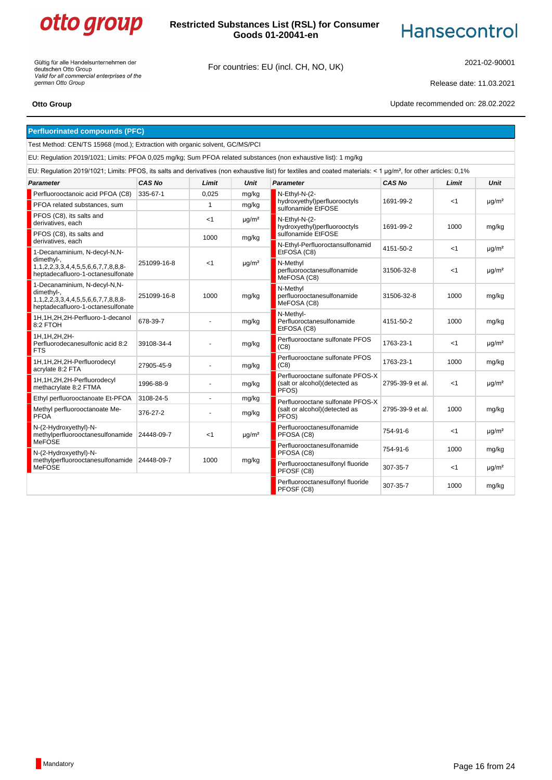

### Hansecontrol

Gültig für alle Handelsunternehmen der<br>deutschen Otto Group<br>Valid for all commercial enterprises of the german Otto Group

**Otto Group**

### 2021-02-90001 For countries: EU (incl. CH, NO, UK)

Release date: 11.03.2021

Update recommended on: 28.02.2022

| <b>Perfluorinated compounds (PFC)</b>                                                                                                                                            |                   |       |                        |                                                                             |                  |       |                        |  |  |  |  |
|----------------------------------------------------------------------------------------------------------------------------------------------------------------------------------|-------------------|-------|------------------------|-----------------------------------------------------------------------------|------------------|-------|------------------------|--|--|--|--|
| Test Method: CEN/TS 15968 (mod.); Extraction with organic solvent, GC/MS/PCI                                                                                                     |                   |       |                        |                                                                             |                  |       |                        |  |  |  |  |
| EU: Regulation 2019/1021; Limits: PFOA 0,025 mg/kg; Sum PFOA related substances (non exhaustive list): 1 mg/kg                                                                   |                   |       |                        |                                                                             |                  |       |                        |  |  |  |  |
| EU: Regulation 2019/1021; Limits: PFOS, its salts and derivatives (non exhaustive list) for textiles and coated materials: < 1 $\mu$ g/m <sup>2</sup> , for other articles: 0,1% |                   |       |                        |                                                                             |                  |       |                        |  |  |  |  |
| <b>Parameter</b>                                                                                                                                                                 | CAS <sub>No</sub> | Limit | <b>Unit</b>            | <b>Parameter</b>                                                            | <b>CAS No</b>    | Limit | <b>Unit</b>            |  |  |  |  |
| Perfluorooctanoic acid PFOA (C8)                                                                                                                                                 | 335-67-1          | 0,025 | mg/kg                  | N-Ethyl-N-(2-                                                               |                  |       |                        |  |  |  |  |
| <b>PFOA related substances, sum</b>                                                                                                                                              |                   | 1     | mg/kg                  | hydroxyethyl)perfluorooctyls<br>sulfonamide EtFOSE                          | 1691-99-2        | <1    | $\mu$ g/m <sup>2</sup> |  |  |  |  |
| PFOS (C8), its salts and<br>derivatives, each                                                                                                                                    |                   | $<$ 1 | $\mu$ g/m <sup>2</sup> | N-Ethyl-N-(2-<br>hydroxyethyl)perfluorooctyls                               | 1691-99-2        | 1000  | mg/kg                  |  |  |  |  |
| PFOS (C8), its salts and                                                                                                                                                         |                   | 1000  | mg/kg                  | sulfonamide EtFOSE                                                          |                  |       |                        |  |  |  |  |
| derivatives, each<br>1-Decanaminium, N-decyl-N,N-                                                                                                                                |                   |       |                        | N-Ethyl-Perfluoroctansulfonamid<br>EtFOSA (C8)                              | 4151-50-2        | $<$ 1 | $\mu$ g/m <sup>2</sup> |  |  |  |  |
| dimethyl-,<br>1, 1, 2, 2, 3, 3, 4, 4, 5, 5, 6, 6, 7, 7, 8, 8, 8-<br>heptadecafluoro-1-octanesulfonate                                                                            | 251099-16-8       | $<$ 1 | $\mu$ g/m <sup>2</sup> | N-Methvl<br>perfluorooctanesulfonamide<br>MeFOSA (C8)                       | 31506-32-8       | $<$ 1 | $\mu$ g/m <sup>2</sup> |  |  |  |  |
| 1-Decanaminium, N-decyl-N,N-<br>dimethyl-,<br>1, 1, 2, 2, 3, 3, 4, 4, 5, 5, 6, 6, 7, 7, 8, 8, 8-<br>heptadecafluoro-1-octanesulfonate                                            | 251099-16-8       | 1000  | mg/kg                  | N-Methyl<br>perfluorooctanesulfonamide<br>MeFOSA (C8)                       | 31506-32-8       | 1000  | mg/kg                  |  |  |  |  |
| 1H.1H.2H.2H-Perfluoro-1-decanol<br>8:2 FTOH                                                                                                                                      | 678-39-7          |       | mg/kg                  | N-Methyl-<br>Perfluoroctanesulfonamide<br>EtFOSA (C8)                       | 4151-50-2        | 1000  | mg/kg                  |  |  |  |  |
| 1H.1H.2H.2H-<br>Perfluorodecanesulfonic acid 8:2<br><b>FTS</b>                                                                                                                   | 39108-34-4        |       | mg/kg                  | Perfluorooctane sulfonate PFOS<br>(C8)                                      | 1763-23-1        | $<$ 1 | $\mu$ g/m <sup>2</sup> |  |  |  |  |
| 1H,1H,2H,2H-Perfluorodecyl<br>acrylate 8:2 FTA                                                                                                                                   | 27905-45-9        |       | mg/kg                  | Perfluorooctane sulfonate PFOS<br>(C8)                                      | 1763-23-1        | 1000  | mg/kg                  |  |  |  |  |
| 1H,1H,2H,2H-Perfluorodecyl<br>methacrylate 8:2 FTMA                                                                                                                              | 1996-88-9         |       | mg/kg                  | Perfluorooctane sulfonate PFOS-X<br>(salt or alcohol) (detected as<br>PFOS) | 2795-39-9 et al. | $<$ 1 | $\mu$ g/m <sup>2</sup> |  |  |  |  |
| Ethyl perfluorooctanoate Et-PFOA                                                                                                                                                 | 3108-24-5         |       | mg/kg                  | Perfluorooctane sulfonate PFOS-X                                            |                  |       |                        |  |  |  |  |
| Methyl perfluorooctanoate Me-<br>PFOA                                                                                                                                            | 376-27-2          |       | mg/kg                  | (salt or alcohol) (detected as<br>PFOS)                                     | 2795-39-9 et al. | 1000  | mg/kg                  |  |  |  |  |
| N-(2-Hydroxyethyl)-N-<br>methylperfluorooctanesulfonamide<br><b>MeFOSE</b>                                                                                                       | 24448-09-7        | $<$ 1 | $\mu$ g/m^2            | Perfluorooctanesulfonamide<br>PFOSA (C8)                                    | 754-91-6         | $<$ 1 | $\mu$ g/m <sup>2</sup> |  |  |  |  |
| N-(2-Hydroxyethyl)-N-                                                                                                                                                            |                   |       |                        | Perfluorooctanesulfonamide<br>PFOSA (C8)                                    | 754-91-6         | 1000  | mg/kg                  |  |  |  |  |
| methylperfluorooctanesulfonamide 24448-09-7<br><b>MeFOSE</b>                                                                                                                     |                   | 1000  | mg/kg                  | Perfluorooctanesulfonyl fluoride<br>PFOSF (C8)                              | 307-35-7         | $<$ 1 | $\mu$ g/m <sup>2</sup> |  |  |  |  |
|                                                                                                                                                                                  |                   |       |                        | Perfluorooctanesulfonyl fluoride<br>PFOSF (C8)                              | 307-35-7         | 1000  | mg/kg                  |  |  |  |  |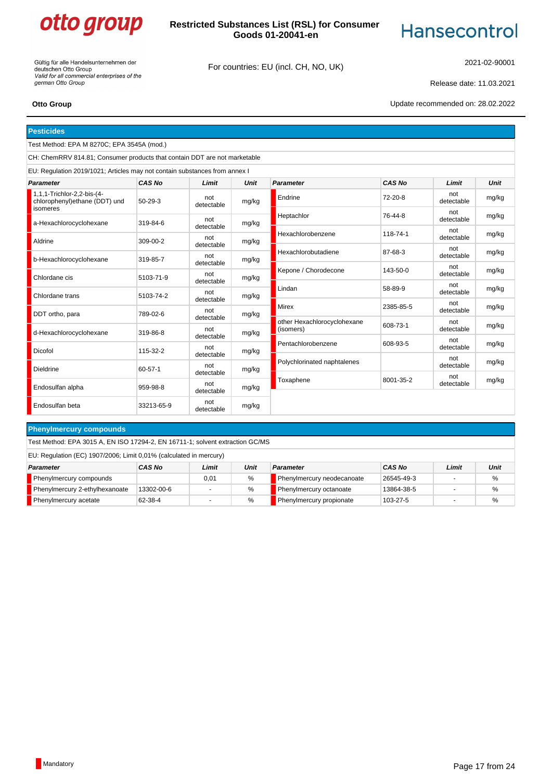Gültig für alle Handelsunternehmen der deutschen Otto Group Valid for all commercial enterprises of the german Otto Group

**Otto Group**

#### **Restricted Substances List (RSL) for Consumer Goods 01-20041-en**

### 2021-02-90001 For countries: EU (incl. CH, NO, UK)

Release date: 11.03.2021

Update recommended on: 28.02.2022

Hansecontrol

#### **Pesticides** Test Method: EPA M 8270C; EPA 3545A (mod.) CH: ChemRRV 814.81; Consumer products that contain DDT are not marketable EU: Regulation 2019/1021; Articles may not contain substances from annex I **Parameter CAS No Limit Unit Parameter CAS No Limit Unit** 1,1,1-Trichlor-2,2-bis-(4 chlorophenyl)ethane (DDT) und isomeres 50-29-3 not not mg/kg a-Hexachlorocyclohexane 319-84-6 not detectable mg/kg Aldrine **1990-00-2** not detectable mg/kg b-Hexachlorocyclohexane 319-85-7 not not<br>detectable mg/kg **Chlordane cis** 5103-71-9 not not<br>detectable mg/kg Chlordane trans 5103-74-2 not not not mg/kg DDT ortho, para 789-02-6 not not<br>detectable mg/kg d-Hexachlorocyclohexane 319-86-8 not not not<br>detectable mg/kg Dicofol 115-32-2 not not<br>detectable mg/kg Dieldrine 100-57-1 not not<br>detectable mg/kg Endosulfan alpha 959-98-8 not nou<br>detectable mg/kg Endosulfan beta 33213-65-9 not not<br>detectable mg/kg Endrine **12-20-8** not mg/kg Heptachlor 76-44-8 not<br>detectable mg/kg Hexachlorobenzene 118-74-1 not not<br>detectable mg/kg Hexachlorobutadiene 87-68-3 detectable mg/kg Kepone / Chorodecone 143-50-0 not not<br>detectable mg/kg Lindan 10 not 58-89-9 not not<br>detectable mg/kg Mirex not and 2385-85-5 not not<br>detectable mg/kg other Hexachlorocyclohexane (isomers) 608-73-1 not not<br>detectable mg/kg Pentachlorobenzene 608-93-5 not not<br>detectable mg/kg Polychlorinated naphtalenes not not<br>detectable mg/kg Toxaphene 8001-35-2 not not<br>detectable mg/kg

#### **Phenylmercury compounds**

Test Method: EPA 3015 A, EN ISO 17294-2, EN 16711-1; solvent extraction GC/MS

EU: Regulation (EC) 1907/2006; Limit 0,01% (calculated in mercury)

| Parameter                      | CAS No     | Limit | Unit | <b>Parameter</b>           | <b>CAS No</b> | Limit | Unit |
|--------------------------------|------------|-------|------|----------------------------|---------------|-------|------|
| Phenylmercury compounds        |            | 0,01  | %    | Phenylmercury neodecanoate | 26545-49-3    |       | %    |
| Phenylmercury 2-ethylhexanoate | 13302-00-6 |       | %    | Phenylmercury octanoate    | 13864-38-5    |       | %    |
| Phenylmercury acetate          | 62-38-4    |       | %    | Phenylmercury propionate   | 103-27-5      |       | %    |



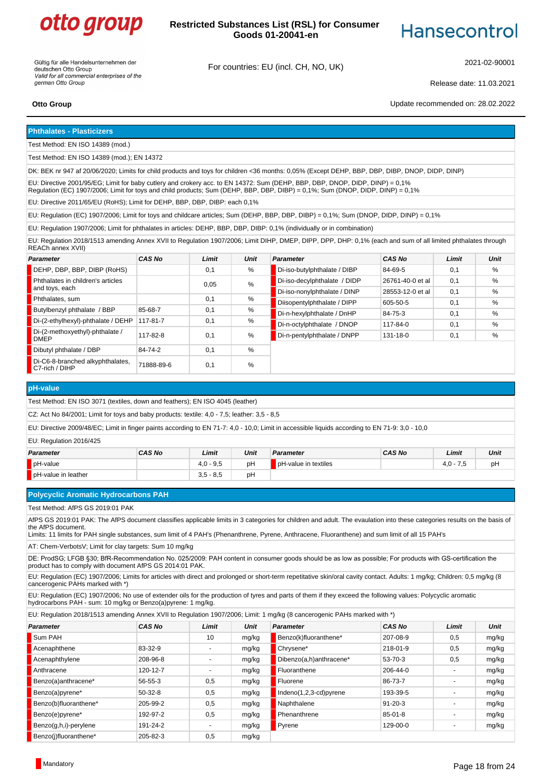

Valid for all commercial enterprises of the

**Restricted Substances List (RSL) for Consumer Goods 01-20041-en**

### Hansecontrol

2021-02-90001 For countries: EU (incl. CH, NO, UK)

Release date: 11.03.2021

Update recommended on: 28.02.2022

#### **Otto Group**

deutschen Otto Group

german Otto Group

#### **Phthalates - Plasticizers**

#### Test Method: EN ISO 14389 (mod.)

Test Method: EN ISO 14389 (mod.); EN 14372

DK: BEK nr 947 af 20/06/2020; Limits for child products and toys for children <36 months: 0,05% (Except DEHP, BBP, DBP, DIBP, DNOP, DIDP, DINP)

EU: Directive 2001/95/EG; Limit for baby cutlery and crokery acc. to EN 14372: Sum (DEHP, BBP, DBP, DNOP, DIDP, DINP) = 0,1%<br>Regulation (EC) 1907/2006; Limit for toys and child products; Sum (DEHP, BBP, DBP, DIBP) = 0,1%;

EU: Directive 2011/65/EU (RoHS); Limit for DEHP, BBP, DBP, DIBP: each 0,1%

EU: Regulation (EC) 1907/2006; Limit for toys and childcare articles; Sum (DEHP, BBP, DBP, DIBP) = 0,1%; Sum (DNOP, DIDP, DINP) = 0,1%

EU: Regulation 1907/2006; Limit for phthalates in articles: DEHP, BBP, DBP, DIBP: 0,1% (individually or in combination)

EU: Regulation 2018/1513 amending Annex XVII to Regulation 1907/2006; Limit DIHP, DMEP, DIPP, DPP, DHP: 0,1% (each and sum of all limited phthalates through REACh annex XVII)

| <b>Parameter</b>                                   | CAS No     | Limit | <b>Unit</b> | <b>Parameter</b>             | CAS No           | Limit | Unit |
|----------------------------------------------------|------------|-------|-------------|------------------------------|------------------|-------|------|
| DEHP, DBP, BBP, DIBP (RoHS)                        |            | 0,1   | %           | Di-iso-butylphthalate / DIBP | 84-69-5          | 0,1   | %    |
| Phthalates in children's articles                  |            | 0.05  | %           | Di-iso-decylphthalate / DIDP | 26761-40-0 et al | 0,1   | %    |
| and toys, each                                     |            |       |             | Di-iso-nonylphthalate / DINP | 28553-12-0 et al | 0,1   | %    |
| Phthalates, sum                                    |            | 0,1   | %           | Diisopentylphthalate / DIPP  | 605-50-5         | 0,1   | %    |
| Butylbenzyl phthalate / BBP                        | 85-68-7    | 0,1   | %           | Di-n-hexylphthalate / DnHP   | 84-75-3          | 0,1   | %    |
| Di-(2-ethylhexyl)-phthalate / DEHP                 | 117-81-7   | 0,1   | %           | Di-n-octylphthalate / DNOP   | $117 - 84 - 0$   | 0,1   | %    |
| Di-(2-methoxyethyl)-phthalate /<br><b>DMEP</b>     | 117-82-8   | 0,1   | %           | Di-n-pentylphthalate / DNPP  | 131-18-0         | 0,1   | %    |
| Dibutyl phthalate / DBP                            | 84-74-2    | 0,1   | %           |                              |                  |       |      |
| Di-C6-8-branched alkyphthalates,<br>C7-rich / DIHP | 71888-89-6 | 0,1   | %           |                              |                  |       |      |

#### **pH-value**

Test Method: EN ISO 3071 (textiles, down and feathers); EN ISO 4045 (leather)

CZ: Act No 84/2001; Limit for toys and baby products: textile: 4,0 - 7,5; leather: 3,5 - 8,5

EU: Directive 2009/48/EC; Limit in finger paints according to EN 71-7: 4,0 - 10,0; Limit in accessible liquids according to EN 71-9: 3,0 - 10,0

#### EU: Regulation 2016/425

| <b>Parameter</b>           | <b>CAS No</b> | Limit              | Unit | <b>Parameter</b>     | <b>CAS No</b> | Limit                                          | Unit |
|----------------------------|---------------|--------------------|------|----------------------|---------------|------------------------------------------------|------|
| <b>DH-value</b>            |               | 9,5<br>4.0         | рH   | pH-value in textiles |               | $ -$<br>4.0<br>$\overline{\phantom{a}}$<br>ں ۔ | рF   |
| <b>DH-value in leather</b> |               | $0.5 - 8.5$<br>ن.ر | рH   |                      |               |                                                |      |

#### **Polycyclic Aromatic Hydrocarbons PAH**

Test Method: AfPS GS 2019:01 PAK

AfPS GS 2019:01 PAK: The AfPS document classifies applicable limits in 3 categories for children and adult. The evaulation into these categories results on the basis of the AfPS document.

Limits: 11 limits for PAH single substances, sum limit of 4 PAH's (Phenanthrene, Pyrene, Anthracene, Fluoranthene) and sum limit of all 15 PAH's

AT: Chem-VerbotsV: Limit for clay targets: Sum 10 mg/kg

DE: ProdSG; LFGB §30; BfR-Recommendation No. 025/2009: PAH content in consumer goods should be as low as possible; For products with GS-certification the product has to comply with document AfPS GS 2014:01 PAK.

EU: Regulation (EC) 1907/2006; Limits for articles with direct and prolonged or short-term repetitative skin/oral cavity contact. Adults: 1 mg/kg; Children: 0,5 mg/kg (8 cancerogenic PAHs marked with \*)

EU: Regulation (EC) 1907/2006; No use of extender oils for the production of tyres and parts of them if they exceed the following values: Polycyclic aromatic hydrocarbons PAH - sum: 10 mg/kg or Benzo(a)pyrene: 1 mg/kg.

EU: Regulation 2018/1513 amending Annex XVII to Regulation 1907/2006; Limit: 1 mg/kg (8 cancerogenic PAHs marked with \*)

| Parameter             | <b>CAS No</b> | Limit | Unit  | Parameter               | <b>CAS No</b> | Limit | Unit  |
|-----------------------|---------------|-------|-------|-------------------------|---------------|-------|-------|
| Sum PAH               |               | 10    | mg/kg | Benzo(k)fluoranthene*   | 207-08-9      | 0,5   | mg/kg |
| Acenaphthene          | 83-32-9       |       | mg/kg | Chrysene*               | 218-01-9      | 0,5   | mg/kg |
| Acenaphthylene        | 208-96-8      |       | mg/kg | Dibenzo(a,h)anthracene* | 53-70-3       | 0,5   | mg/kg |
| Anthracene            | 120-12-7      |       | mg/kg | Fluoranthene            | 206-44-0      |       | mg/kg |
| Benzo(a)anthracene*   | 56-55-3       | 0,5   | mg/kg | Fluorene                | 86-73-7       |       | mg/kg |
| Benzo(a)pyrene*       | $50-32-8$     | 0,5   | mg/kg | Indeno(1,2,3-cd)pyrene  | 193-39-5      |       | mg/kg |
| Benzo(b)fluoranthene* | 205-99-2      | 0,5   | mg/kg | Naphthalene             | 91-20-3       |       | mg/kg |
| Benzo(e)pyrene*       | 192-97-2      | 0,5   | mg/kg | Phenanthrene            | 85-01-8       |       | mg/kg |
| Benzo(g,h,i)-perylene | 191-24-2      |       | mg/kg | Pyrene                  | 129-00-0      |       | mg/kg |
| Benzo(j)fluoranthene* | 205-82-3      | 0,5   | mg/kg |                         |               |       |       |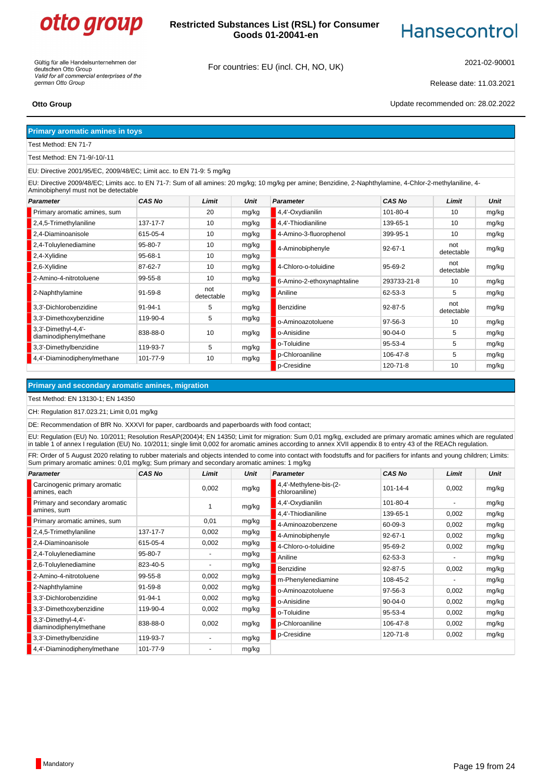

### Hansecontrol

2021-02-90001 For countries: EU (incl. CH, NO, UK)

Release date: 11.03.2021

Update recommended on: 28.02.2022

Gültig für alle Handelsunternehmen der deutschen Otto Group<br>Valid for all commercial enterprises of the german Otto Group

#### **Otto Group**

#### **Primary aromatic amines in toys**

#### Test Method: EN 71-7

#### Test Method: EN 71-9/-10/-11

#### EU: Directive 2001/95/EC, 2009/48/EC; Limit acc. to EN 71-9: 5 mg/kg

EU: Directive 2009/48/EC; Limits acc. to EN 71-7: Sum of all amines: 20 mg/kg; 10 mg/kg per amine; Benzidine, 2-Naphthylamine, 4-Chlor-2-methylaniline, 4- Aminobiphenyl must not be detectable

| <b>Parameter</b>                              | <b>CAS No</b> | Limit             | Unit  | <b>Parameter</b>           | <b>CAS No</b> | Limit             | Unit  |
|-----------------------------------------------|---------------|-------------------|-------|----------------------------|---------------|-------------------|-------|
| Primary aromatic amines, sum                  |               | 20                | mg/kg | 4,4'-Oxydianilin           | 101-80-4      | 10                | mg/kg |
| $2,4,5$ -Trimethylaniline                     | 137-17-7      | 10                | mg/kg | 4,4'-Thiodianiline         | 139-65-1      | 10                | mg/kg |
| 2,4-Diaminoanisole                            | 615-05-4      | 10                | mg/kg | 4-Amino-3-fluorophenol     | 399-95-1      | 10                | mg/kg |
| 2,4-Toluylenediamine                          | 95-80-7       | 10                | mg/kg | 4-Aminobiphenyle           | $92 - 67 - 1$ | not               | mg/kg |
| $2,4-X$ ylidine                               | $95 - 68 - 1$ | 10                | mg/kg |                            |               | detectable        |       |
| $2,6$ -Xylidine                               | 87-62-7       | 10                | mg/kg | 4-Chloro-o-toluidine       | 95-69-2       | not<br>detectable | mg/kg |
| 2-Amino-4-nitrotoluene                        | 99-55-8       | 10                | mg/kg | 6-Amino-2-ethoxynaphtaline | 293733-21-8   | 10                | mg/kg |
| 2-Naphthylamine                               | 91-59-8       | not<br>detectable | mg/kg | Aniline                    | 62-53-3       | 5                 | mg/kg |
| 3,3'-Dichlorobenzidine                        | 91-94-1       | 5                 | mg/kg | Benzidine                  | $92 - 87 - 5$ | not<br>detectable | mg/kg |
| 3,3'-Dimethoxybenzidine                       | 119-90-4      | 5                 | mg/kg | o-Aminoazotoluene          | 97-56-3       | 10                | mg/kg |
| 3,3'-Dimethyl-4,4'-<br>diaminodiphenylmethane | 838-88-0      | 10                | mg/kg | o-Anisidine                | $90 - 04 - 0$ | 5                 | mg/kg |
| 3,3'-Dimethylbenzidine                        | 119-93-7      | 5                 | mg/kg | o-Toluidine                | 95-53-4       | 5                 | mg/kg |
| 4,4'-Diaminodiphenylmethane                   | 101-77-9      | 10                | mg/kg | p-Chloroaniline            | 106-47-8      | 5                 | mg/kg |
|                                               |               |                   |       | p-Cresidine                | 120-71-8      | 10                | mg/kg |

#### **Primary and secondary aromatic amines, migration**

#### Test Method: EN 13130-1; EN 14350

#### CH: Regulation 817.023.21; Limit 0,01 mg/kg

DE: Recommendation of BfR No. XXXVI for paper, cardboards and paperboards with food contact;

EU: Regulation (EU) No. 10/2011; Resolution ResAP(2004)4; EN 14350; Limit for migration: Sum 0,01 mg/kg, excluded are primary aromatic amines which are regulated<br>in table 1 of annex I regulation (EU) No. 10/2011; single li

FR: Order of 5 August 2020 relating to rubber materials and objects intended to come into contact with foodstuffs and for pacifiers for infants and young children; Limits: Sum primary aromatic amines: 0,01 mg/kg; Sum primary and secondary aromatic amines: 1 mg/kg

| <b>Parameter</b>                              | <b>CAS No</b> | Limit | Unit  | <b>Parameter</b>                         | <b>CAS No</b>  | Limit          | Unit  |
|-----------------------------------------------|---------------|-------|-------|------------------------------------------|----------------|----------------|-------|
| Carcinogenic primary aromatic<br>amines, each |               | 0,002 | mg/kg | 4,4'-Methylene-bis-(2-<br>chloroaniline) | $101 - 14 - 4$ | 0,002          | mg/kg |
| Primary and secondary aromatic                |               |       | mg/kg | 4,4'-Oxydianilin                         | 101-80-4       | $\blacksquare$ | mg/kg |
| amines, sum                                   |               |       |       | 4,4'-Thiodianiline                       | 139-65-1       | 0,002          | mg/kg |
| Primary aromatic amines, sum                  |               | 0,01  | mg/kg | 4-Aminoazobenzene                        | 60-09-3        | 0,002          | mg/kg |
| 2,4,5-Trimethylaniline                        | 137-17-7      | 0,002 | mg/kg | 4-Aminobiphenyle                         | $92 - 67 - 1$  | 0,002          | mg/kg |
| 2,4-Diaminoanisole                            | 615-05-4      | 0,002 | mg/kg | 4-Chloro-o-toluidine                     | 95-69-2        | 0,002          | mg/kg |
| 2,4-Toluylenediamine                          | 95-80-7       |       | mg/kg | Aniline                                  | 62-53-3        |                | mg/kg |
| 2,6-Toluylenediamine                          | 823-40-5      |       | mg/kg | Benzidine                                | $92 - 87 - 5$  | 0,002          | mg/kg |
| 2-Amino-4-nitrotoluene                        | $99 - 55 - 8$ | 0,002 | mg/kg | m-Phenylenediamine                       | 108-45-2       |                | mg/kg |
| 2-Naphthylamine                               | $91 - 59 - 8$ | 0,002 | mg/kg | o-Aminoazotoluene                        | 97-56-3        | 0,002          | mg/kg |
| 3,3'-Dichlorobenzidine                        | $91 - 94 - 1$ | 0,002 | mg/kg | o-Anisidine                              | $90 - 04 - 0$  | 0,002          | mg/kg |
| 3,3'-Dimethoxybenzidine                       | 119-90-4      | 0,002 | mg/kg | o-Toluidine                              | 95-53-4        | 0,002          | mg/kg |
| 3,3'-Dimethyl-4,4'-                           | 838-88-0      | 0,002 | mg/kg | p-Chloroaniline                          | 106-47-8       | 0,002          | mg/kg |
| diaminodiphenylmethane                        |               |       |       |                                          |                |                |       |
| 3,3'-Dimethylbenzidine                        | 119-93-7      |       | mg/kg | p-Cresidine                              | 120-71-8       | 0,002          | mg/kg |
| 4,4'-Diaminodiphenylmethane                   | 101-77-9      |       | mg/kg |                                          |                |                |       |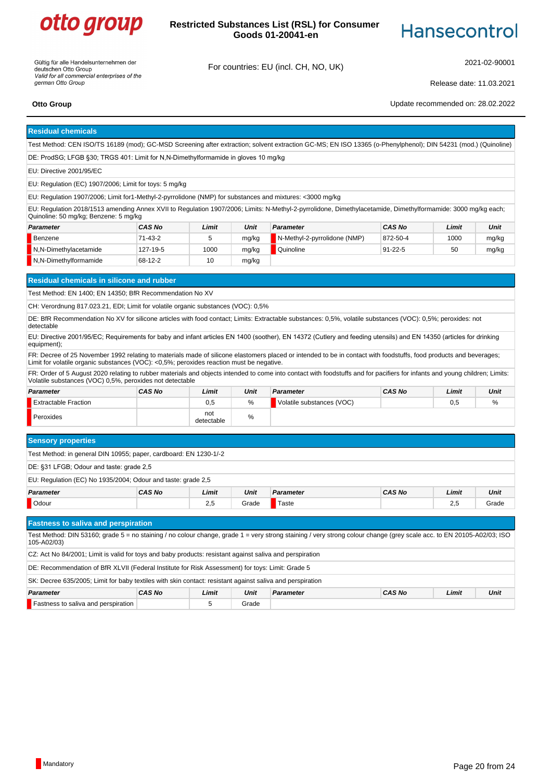

Valid for all commercial enterprises of the

**Restricted Substances List (RSL) for Consumer Goods 01-20041-en**

### Hansecontrol

2021-02-90001 For countries: EU (incl. CH, NO, UK)

Release date: 11.03.2021

Update recommended on: 28.02.2022

#### **Otto Group**

#### **Residual chemicals**

deutschen Otto Group

german Otto Group

| Test Method: CEN ISO/TS 16189 (mod); GC-MSD Screening after extraction; solvent extraction GC-MS; EN ISO 13365 (o-Phenylphenol); DIN 54231 (mod.) (Quinoline) |
|---------------------------------------------------------------------------------------------------------------------------------------------------------------|
| DE: ProdSG; LFGB §30; TRGS 401: Limit for N,N-Dimethylformamide in gloves 10 mg/kg                                                                            |

#### EU: Directive 2001/95/EC

EU: Regulation (EC) 1907/2006; Limit for toys: 5 mg/kg

EU: Regulation 1907/2006; Limit for1-Methyl-2-pyrrolidone (NMP) for substances and mixtures: <3000 mg/kg

EU: Regulation 2018/1513 amending Annex XVII to Regulation 1907/2006; Limits: N-Methyl-2-pyrrolidone, Dimethylacetamide, Dimethylformamide: 3000 mg/kg each; Quinoline: 50 mg/kg; Benzene: 5 mg/kg

| <b>Parameter</b>      | <b>CAS No</b> | Limit | Unit  | <b>Parameter</b>             | <b>CAS No</b> | Limit | Unit  |
|-----------------------|---------------|-------|-------|------------------------------|---------------|-------|-------|
| Benzene               | 71-43-2       |       | mg/kg | N-Methyl-2-pyrrolidone (NMP) | 872-50-4      | 1000  | mg/kg |
| N.N-Dimethylacetamide | 127-19-5      | 1000  | mg/kg | Quinoline                    | $91 - 22 - 5$ | 50    | mg/kg |
| N.N-Dimethylformamide | 68-12-2       | 10    | mg/kg |                              |               |       |       |

#### **Residual chemicals in silicone and rubber**

Test Method: EN 1400; EN 14350; BfR Recommendation No XV

CH: Verordnung 817.023.21, EDI; Limit for volatile organic substances (VOC): 0,5%

DE: BfR Recommendation No XV for silicone articles with food contact; Limits: Extractable substances: 0,5%, volatile substances (VOC): 0,5%; peroxides: not detectable

EU: Directive 2001/95/EC; Requirements for baby and infant articles EN 1400 (soother), EN 14372 (Cutlery and feeding utensils) and EN 14350 (articles for drinking equipment);

FR: Decree of 25 November 1992 relating to materials made of silicone elastomers placed or intended to be in contact with foodstuffs, food products and beverages; Limit for volatile organic substances (VOC): <0,5%; peroxides reaction must be negative.

FR: Order of 5 August 2020 relating to rubber materials and objects intended to come into contact with foodstuffs and for pacifiers for infants and young children; Limits: Volatile substances (VOC) 0,5%, peroxides not detectable

| <b>Parameter</b>            | <b>CAS No</b> | Limit             | Unit | <b>Parameter</b>          | <b>CAS No</b> | Limit | Unit |
|-----------------------------|---------------|-------------------|------|---------------------------|---------------|-------|------|
| <b>Extractable Fraction</b> |               | 0,5               | %    | Volatile substances (VOC) |               | 0,5   | %    |
| Peroxides                   |               | not<br>detectable | %    |                           |               |       |      |

| <b>Sensory properties</b>                                         |        |       |       |                  |        |       |       |
|-------------------------------------------------------------------|--------|-------|-------|------------------|--------|-------|-------|
| Test Method: in general DIN 10955; paper, cardboard: EN 1230-1/-2 |        |       |       |                  |        |       |       |
| DE: §31 LFGB; Odour and taste: grade 2,5                          |        |       |       |                  |        |       |       |
| EU: Regulation (EC) No 1935/2004; Odour and taste: grade 2,5      |        |       |       |                  |        |       |       |
| <b>Parameter</b>                                                  | CAS No | Limit | Unit  | <b>Parameter</b> | CAS No | Limit | Unit  |
| Odour                                                             |        | 2,5   | Grade | Taste            |        | 2,5   | Grade |

| <b>Fastness to saliva and perspiration</b>                                                                                                                                           |        |       |       |                  |        |       |      |
|--------------------------------------------------------------------------------------------------------------------------------------------------------------------------------------|--------|-------|-------|------------------|--------|-------|------|
| Test Method: DIN 53160; grade 5 = no staining / no colour change, grade 1 = very strong staining / very strong colour change (grey scale acc. to EN 20105-A02/03; ISO<br>105-A02/03) |        |       |       |                  |        |       |      |
| CZ: Act No 84/2001; Limit is valid for toys and baby products: resistant against saliva and perspiration                                                                             |        |       |       |                  |        |       |      |
| DE: Recommendation of BfR XLVII (Federal Institute for Risk Assessment) for toys: Limit: Grade 5                                                                                     |        |       |       |                  |        |       |      |
| SK: Decree 635/2005; Limit for baby textiles with skin contact: resistant against saliva and perspiration                                                                            |        |       |       |                  |        |       |      |
| <b>Parameter</b>                                                                                                                                                                     | CAS No | Limit | Unit  | <b>Parameter</b> | CAS No | Limit | Unit |
| <b>Fastness to saliva and perspiration</b>                                                                                                                                           |        | 5     | Grade |                  |        |       |      |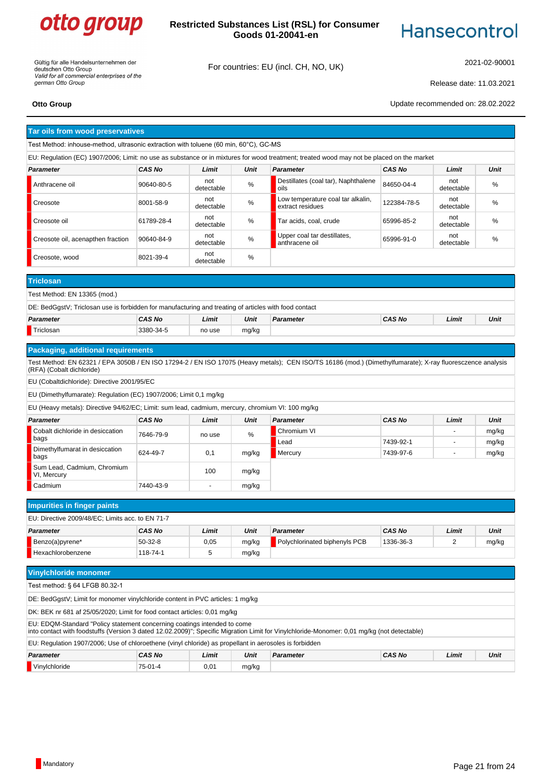**Restricted Substances List (RSL) for Consumer Goods 01-20041-en**

## Hansecontrol

2021-02-90001 For countries: EU (incl. CH, NO, UK)

Release date: 11.03.2021

Update recommended on: 28.02.2022

Gültig für alle Handelsunternehmen der deutschen Otto Group<br>Valid for all commercial enterprises of the german Otto Group

#### **Otto Group**

|  | Tar oils from wood preservatives |
|--|----------------------------------|
|  |                                  |

| Test Method: inhouse-method, ultrasonic extraction with toluene (60 min, 60°C), GC-MS |            |                   |             |                                                                                                                                           |             |                   |             |
|---------------------------------------------------------------------------------------|------------|-------------------|-------------|-------------------------------------------------------------------------------------------------------------------------------------------|-------------|-------------------|-------------|
|                                                                                       |            |                   |             | EU: Regulation (EC) 1907/2006; Limit: no use as substance or in mixtures for wood treatment; treated wood may not be placed on the market |             |                   |             |
| <b>Parameter</b>                                                                      | CAS No     | Limit             | <b>Unit</b> | <b>Parameter</b>                                                                                                                          | CAS No      | Limit             | <b>Unit</b> |
| Anthracene oil                                                                        | 90640-80-5 | not<br>detectable | $\%$        | Destillates (coal tar), Naphthalene<br>oils                                                                                               | 84650-04-4  | not<br>detectable | $\%$        |
| Creosote                                                                              | 8001-58-9  | not<br>detectable | %           | Low temperature coal tar alkalin,<br>extract residues                                                                                     | 122384-78-5 | not<br>detectable | %           |
| Creosote oil                                                                          | 61789-28-4 | not<br>detectable | $\%$        | Tar acids, coal, crude                                                                                                                    | 65996-85-2  | not<br>detectable | %           |
| Creosote oil, acenapthen fraction                                                     | 90640-84-9 | not<br>detectable | %           | Upper coal tar destillates,<br>anthracene oil                                                                                             | 65996-91-0  | not<br>detectable | %           |
| Creosote, wood                                                                        | 8021-39-4  | not<br>detectable | %           |                                                                                                                                           |             |                   |             |

| <b>Triclosan</b>                                                                                      |           |        |       |                  |               |       |      |
|-------------------------------------------------------------------------------------------------------|-----------|--------|-------|------------------|---------------|-------|------|
| Test Method: EN 13365 (mod.)                                                                          |           |        |       |                  |               |       |      |
| DE: BedGqstV; Triclosan use is forbidden for manufacturing and treating of articles with food contact |           |        |       |                  |               |       |      |
| <b>Parameter</b>                                                                                      | CAS No    | Limit  | Unit  | <b>Parameter</b> | <b>CAS No</b> | Limit | Unit |
| <b>Triclosan</b>                                                                                      | 3380-34-5 | no use | mg/kg |                  |               |       |      |

#### **Packaging, additional requirements**

Test Method: EN 62321 / EPA 3050B / EN ISO 17294-2 / EN ISO 17075 (Heavy metals); CEN ISO/TS 16186 (mod.) (Dimethylfumarate); X-ray fluoresczence analysis (RFA) (Cobalt dichloride)

EU (Cobaltdichloride): Directive 2001/95/EC

EU (Dimethylfumarate): Regulation (EC) 1907/2006; Limit 0,1 mg/kg

EU (Heavy metals): Directive 94/62/EC; Limit: sum lead, cadmium, mercury, chromium VI: 100 mg/kg

| <b>Parameter</b>                           | CAS No    | Limit  | Unit  | <b>Parameter</b> | CAS No    | Limit                    | <b>Unit</b> |  |  |  |  |
|--------------------------------------------|-----------|--------|-------|------------------|-----------|--------------------------|-------------|--|--|--|--|
| Cobalt dichloride in desiccation           | 7646-79-9 | no use | %     | Chromium VI      |           | $\overline{\phantom{0}}$ | mg/kg       |  |  |  |  |
| bags                                       |           |        |       | Lead             | 7439-92-1 | $\overline{a}$           | mg/kg       |  |  |  |  |
| Dimethylfumarat in desiccation<br>bags     | 624-49-7  | 0,1    | mg/kg | Mercury          | 7439-97-6 | $\overline{a}$           | mg/kg       |  |  |  |  |
| Sum Lead, Cadmium, Chromium<br>VI, Mercury |           | 100    | mg/kg |                  |           |                          |             |  |  |  |  |
| Cadmium                                    | 7440-43-9 |        | mg/kg |                  |           |                          |             |  |  |  |  |

| Impurities in finger paints                      |               |       |       |                               |               |       |       |
|--------------------------------------------------|---------------|-------|-------|-------------------------------|---------------|-------|-------|
| EU: Directive 2009/48/EC; Limits acc. to EN 71-7 |               |       |       |                               |               |       |       |
| <b>Parameter</b>                                 | <b>CAS No</b> | Limit | Unit  | <b>Parameter</b>              | <b>CAS No</b> | Limit | Unit  |
| Benzo(a)pyrene*                                  | 50-32-8       | 0,05  | mg/kg | Polychlorinated biphenyls PCB | 1336-36-3     | -     | mg/kg |
| <b>Hexachlorobenzene</b>                         | 118-74-1      |       | mg/kg |                               |               |       |       |

#### **Vinylchloride monomer**

Test method: § 64 LFGB 80.32-1 DE: BedGgstV; Limit for monomer vinylchloride content in PVC articles: 1 mg/kg DK: BEK nr 681 af 25/05/2020; Limit for food contact articles: 0,01 mg/kg EU: EDQM-Standard "Policy statement concerning coatings intended to come into contact with foodstuffs (Version 3 dated 12.02.2009)"; Specific Migration Limit for Vinylchloride-Monomer: 0,01 mg/kg (not detectable) EU: Regulation 1907/2006; Use of chloroethene (vinyl chloride) as propellant in aerosoles is forbidden **Parameter CAS No Limit Unit Parameter CAS No Limit Unit** Vinylchloride 75-01-4 0,01 mg/kg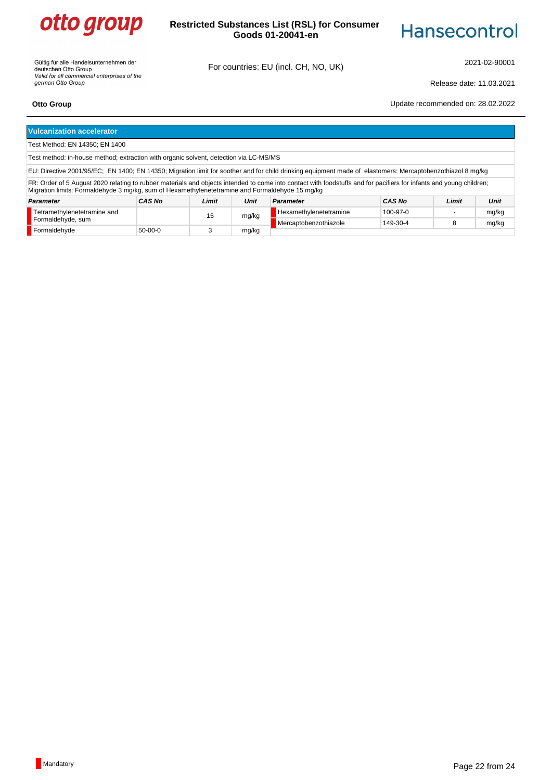

Gültig für alle Handelsunternehmen der<br>deutschen Otto Group<br>Valid for all commercial enterprises of the

#### **Restricted Substances List (RSL) for Consumer Goods 01-20041-en**

### Hansecontrol

2021-02-90001 For countries: EU (incl. CH, NO, UK)

Release date: 11.03.2021

Update recommended on: 28.02.2022

#### **Otto Group**

german Otto Group

| <b>Vulcanization accelerator</b>                                                                |           |       |       |                                                                                                                                                                     |                |       |       |
|-------------------------------------------------------------------------------------------------|-----------|-------|-------|---------------------------------------------------------------------------------------------------------------------------------------------------------------------|----------------|-------|-------|
| Test Method: EN 14350; EN 1400                                                                  |           |       |       |                                                                                                                                                                     |                |       |       |
| Test method: in-house method; extraction with organic solvent, detection via LC-MS/MS           |           |       |       |                                                                                                                                                                     |                |       |       |
|                                                                                                 |           |       |       | EU: Directive 2001/95/EC; EN 1400; EN 14350; Migration limit for soother and for child drinking equipment made of elastomers: Mercaptobenzothiazol 8 mg/kg          |                |       |       |
| Migration limits: Formaldehyde 3 mg/kg, sum of Hexamethylenetetramine and Formaldehyde 15 mg/kg |           |       |       | FR: Order of 5 August 2020 relating to rubber materials and objects intended to come into contact with foodstuffs and for pacifiers for infants and young children; |                |       |       |
| <b>Parameter</b>                                                                                | CAS No    | Limit | Unit  | <b>Parameter</b>                                                                                                                                                    | <b>CAS No</b>  | Limit | Unit  |
| Tetramethylenetetramine and                                                                     |           | 15    | mg/kg | Hexamethylenetetramine                                                                                                                                              | $100 - 97 - 0$ |       | mg/kg |
| Formaldehyde, sum                                                                               |           |       |       | Mercaptobenzothiazole                                                                                                                                               | 149-30-4       | 8     | mg/kg |
| Formaldehyde                                                                                    | $50-00-0$ | 3     | mg/kg |                                                                                                                                                                     |                |       |       |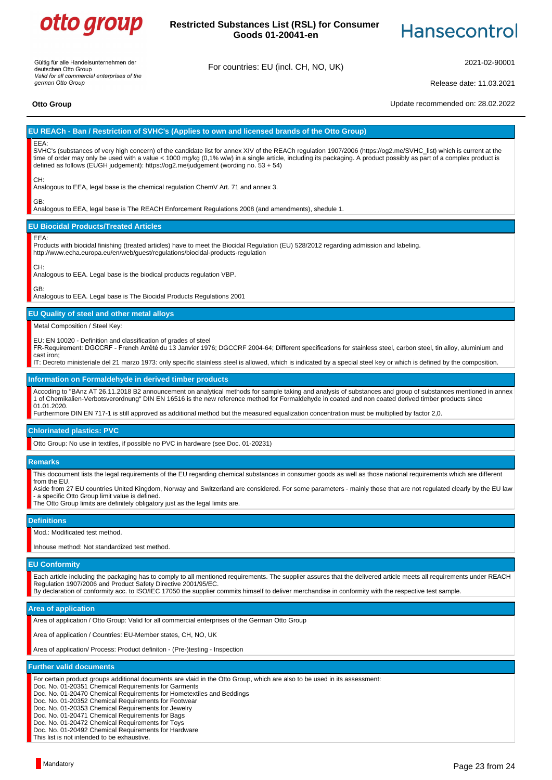

Valid for all commercial enterprises of the

**Restricted Substances List (RSL) for Consumer Goods 01-20041-en**

### Hansecontrol

2021-02-90001 For countries: EU (incl. CH, NO, UK)

Release date: 11.03.2021

#### **Otto Group**

deutschen Otto Group

german Otto Group

Update recommended on: 28.02.2022

#### **EU REACh - Ban / Restriction of SVHC's (Applies to own and licensed brands of the Otto Group)**

EEA:

SVHC's (substances of very high concern) of the candidate list for annex XIV of the REACh regulation 1907/2006 (https://og2.me/SVHC\_list) which is current at the time of order may only be used with a value < 1000 mg/kg (0,1% w/w) in a single article, including its packaging. A product possibly as part of a complex product is defined as follows (EUGH judgement): https://og2.me/judgement (wording no. 53 + 54)

CH:

Analogous to EEA, legal base is the chemical regulation ChemV Art. 71 and annex 3.

GB:

Analogous to EEA, legal base is The REACH Enforcement Regulations 2008 (and amendments), shedule 1.

#### **EU Biocidal Products/Treated Articles**

**EEA** 

Products with biocidal finishing (treated articles) have to meet the Biocidal Regulation (EU) 528/2012 regarding admission and labeling. http://www.echa.europa.eu/en/web/guest/regulations/biocidal-products-regulation

CH:

Analogous to EEA. Legal base is the biodical products regulation VBP.

GB:

Analogous to EEA. Legal base is The Biocidal Products Regulations 2001

**EU Quality of steel and other metal alloys**

**Metal Composition / Steel Key** 

EU: EN 10020 - Definition and classification of grades of steel

FR-Requirement: DGCCRF - French Arrêté du 13 Janvier 1976; DGCCRF 2004-64; Different specifications for stainless steel, carbon steel, tin alloy, aluminium and cast iron;

IT: Decreto ministeriale del 21 marzo 1973: only specific stainless steel is allowed, which is indicated by a special steel key or which is defined by the composition.

#### **Information on Formaldehyde in derived timber products**

Accoding to "BAnz AT 26.11.2018 B2 announcement on analytical methods for sample taking and analysis of substances and group of substances mentioned in annex 1 of Chemikalien-Verbotsverordnung" DIN EN 16516 is the new reference method for Formaldehyde in coated and non coated derived timber products since 01.01.2020.

Furthermore DIN EN 717-1 is still approved as additional method but the measured equalization concentration must be multiplied by factor 2,0.

#### **Chlorinated plastics: PVC**

Otto Group: No use in textiles, if possible no PVC in hardware (see Doc. 01-20231)

#### **Remarks**

This docoument lists the legal requirements of the EU regarding chemical substances in consumer goods as well as those national requirements which are different from the EU

Aside from 27 EU countries United Kingdom, Norway and Switzerland are considered. For some parameters - mainly those that are not regulated clearly by the EU law a specific Otto Group limit value is defined.

The Otto Group limits are definitely obligatory just as the legal limits are.

#### **Definitions**

#### Mod.: Modificated test method

Inhouse method: Not standardized test method.

#### **EU Conformity**

Each article including the packaging has to comply to all mentioned requirements. The supplier assures that the delivered article meets all requirements under REACH Regulation 1907/2006 and Product Safety Directive 2001/95/EC.

By declaration of conformity acc. to ISO/IEC 17050 the supplier commits himself to deliver merchandise in conformity with the respective test sample.

#### **Area of application**

Area of application / Otto Group: Valid for all commercial enterprises of the German Otto Group

Area of application / Countries: EU-Member states, CH, NO, UK

Area of application/ Process: Product definiton - (Pre-)testing - Inspection

#### **Further valid documents**

For certain product groups additional documents are vlaid in the Otto Group, which are also to be used in its assessment: Doc. No. 01-20351 Chemical Requirements for Garments

Doc. No. 01-20470 Chemical Requirements for Hometextiles and Beddings

Doc. No. 01-20352 Chemical Requirements for Footwear Doc. No. 01-20353 Chemical Requirements for Jewelry

Doc. No. 01-20471 Chemical Requirements for Bags

Doc. No. 01-20472 Chemical Requirements for Toys

Doc. No. 01-20492 Chemical Requirements for Hardware

This list is not intended to be exhaustive.